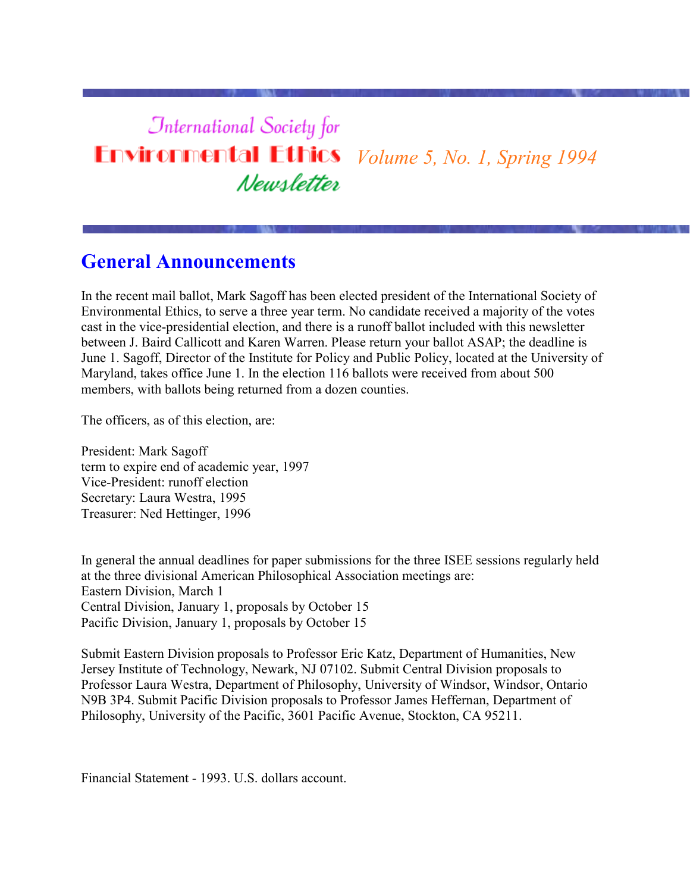# **International Society for Environmental Ethics** *Volume 5, No. 1, Spring 1994* Newsletter

### **General Announcements**

In the recent mail ballot, Mark Sagoff has been elected president of the International Society of Environmental Ethics, to serve a three year term. No candidate received a majority of the votes cast in the vice-presidential election, and there is a runoff ballot included with this newsletter between J. Baird Callicott and Karen Warren. Please return your ballot ASAP; the deadline is June 1. Sagoff, Director of the Institute for Policy and Public Policy, located at the University of Maryland, takes office June 1. In the election 116 ballots were received from about 500 members, with ballots being returned from a dozen counties.

The officers, as of this election, are:

President: Mark Sagoff term to expire end of academic year, 1997 Vice-President: runoff election Secretary: Laura Westra, 1995 Treasurer: Ned Hettinger, 1996

In general the annual deadlines for paper submissions for the three ISEE sessions regularly held at the three divisional American Philosophical Association meetings are: Eastern Division, March 1 Central Division, January 1, proposals by October 15 Pacific Division, January 1, proposals by October 15

Submit Eastern Division proposals to Professor Eric Katz, Department of Humanities, New Jersey Institute of Technology, Newark, NJ 07102. Submit Central Division proposals to Professor Laura Westra, Department of Philosophy, University of Windsor, Windsor, Ontario N9B 3P4. Submit Pacific Division proposals to Professor James Heffernan, Department of Philosophy, University of the Pacific, 3601 Pacific Avenue, Stockton, CA 95211.

Financial Statement - 1993. U.S. dollars account.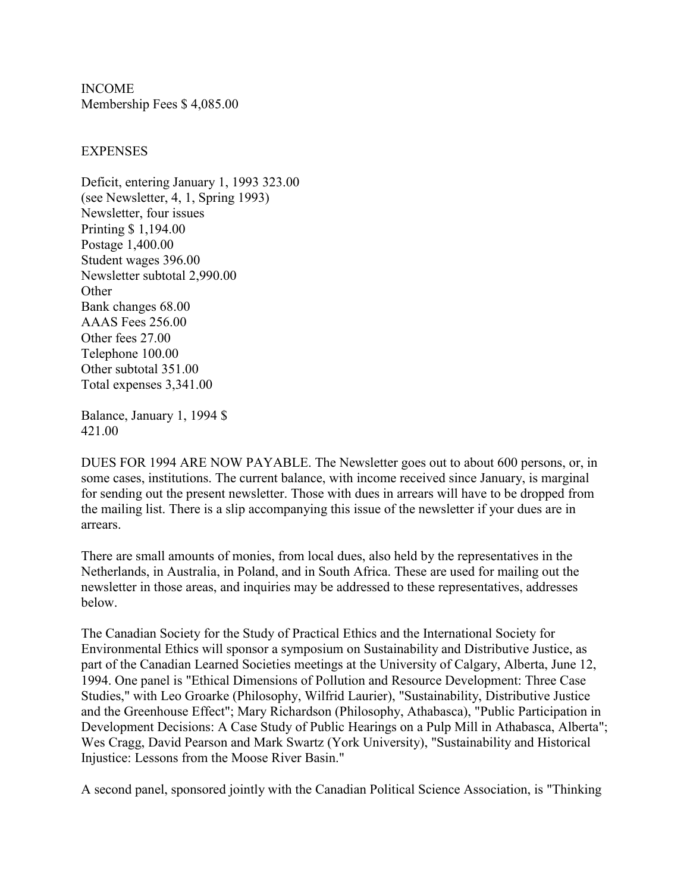INCOME Membership Fees \$ 4,085.00

#### **EXPENSES**

Deficit, entering January 1, 1993 323.00 (see Newsletter, 4, 1, Spring 1993) Newsletter, four issues Printing \$ 1,194.00 Postage 1,400.00 Student wages 396.00 Newsletter subtotal 2,990.00 **Other** Bank changes 68.00 AAAS Fees 256.00 Other fees 27.00 Telephone 100.00 Other subtotal 351.00 Total expenses 3,341.00

Balance, January 1, 1994 \$ 421.00

DUES FOR 1994 ARE NOW PAYABLE. The Newsletter goes out to about 600 persons, or, in some cases, institutions. The current balance, with income received since January, is marginal for sending out the present newsletter. Those with dues in arrears will have to be dropped from the mailing list. There is a slip accompanying this issue of the newsletter if your dues are in arrears.

There are small amounts of monies, from local dues, also held by the representatives in the Netherlands, in Australia, in Poland, and in South Africa. These are used for mailing out the newsletter in those areas, and inquiries may be addressed to these representatives, addresses below.

The Canadian Society for the Study of Practical Ethics and the International Society for Environmental Ethics will sponsor a symposium on Sustainability and Distributive Justice, as part of the Canadian Learned Societies meetings at the University of Calgary, Alberta, June 12, 1994. One panel is "Ethical Dimensions of Pollution and Resource Development: Three Case Studies," with Leo Groarke (Philosophy, Wilfrid Laurier), "Sustainability, Distributive Justice and the Greenhouse Effect"; Mary Richardson (Philosophy, Athabasca), "Public Participation in Development Decisions: A Case Study of Public Hearings on a Pulp Mill in Athabasca, Alberta"; Wes Cragg, David Pearson and Mark Swartz (York University), "Sustainability and Historical Injustice: Lessons from the Moose River Basin."

A second panel, sponsored jointly with the Canadian Political Science Association, is "Thinking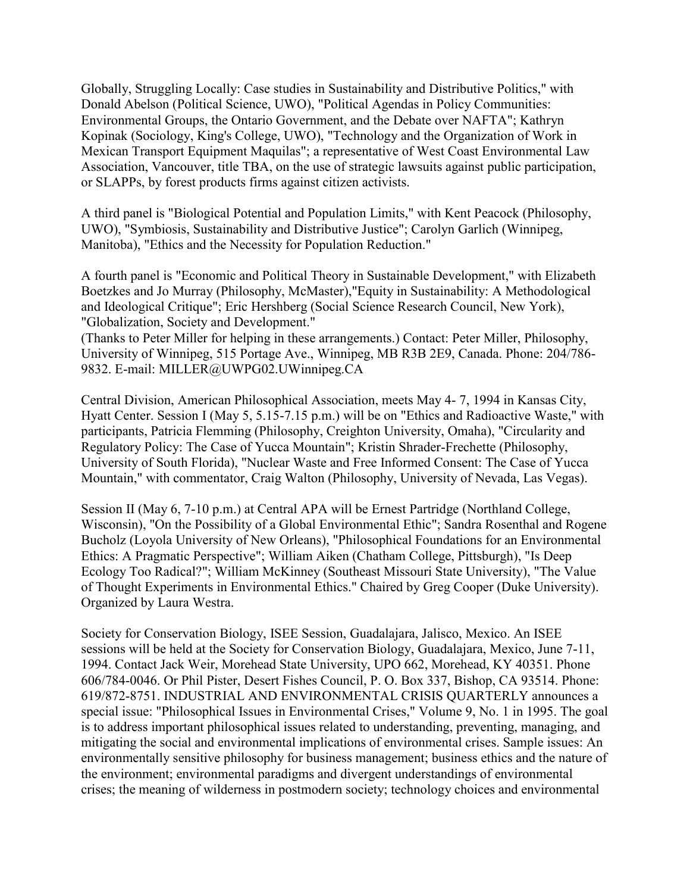Globally, Struggling Locally: Case studies in Sustainability and Distributive Politics," with Donald Abelson (Political Science, UWO), "Political Agendas in Policy Communities: Environmental Groups, the Ontario Government, and the Debate over NAFTA"; Kathryn Kopinak (Sociology, King's College, UWO), "Technology and the Organization of Work in Mexican Transport Equipment Maquilas"; a representative of West Coast Environmental Law Association, Vancouver, title TBA, on the use of strategic lawsuits against public participation, or SLAPPs, by forest products firms against citizen activists.

A third panel is "Biological Potential and Population Limits," with Kent Peacock (Philosophy, UWO), "Symbiosis, Sustainability and Distributive Justice"; Carolyn Garlich (Winnipeg, Manitoba), "Ethics and the Necessity for Population Reduction."

A fourth panel is "Economic and Political Theory in Sustainable Development," with Elizabeth Boetzkes and Jo Murray (Philosophy, McMaster),"Equity in Sustainability: A Methodological and Ideological Critique"; Eric Hershberg (Social Science Research Council, New York), "Globalization, Society and Development."

(Thanks to Peter Miller for helping in these arrangements.) Contact: Peter Miller, Philosophy, University of Winnipeg, 515 Portage Ave., Winnipeg, MB R3B 2E9, Canada. Phone: 204/786- 9832. E-mail: MILLER@UWPG02.UWinnipeg.CA

Central Division, American Philosophical Association, meets May 4- 7, 1994 in Kansas City, Hyatt Center. Session I (May 5, 5.15-7.15 p.m.) will be on "Ethics and Radioactive Waste," with participants, Patricia Flemming (Philosophy, Creighton University, Omaha), "Circularity and Regulatory Policy: The Case of Yucca Mountain"; Kristin Shrader-Frechette (Philosophy, University of South Florida), "Nuclear Waste and Free Informed Consent: The Case of Yucca Mountain," with commentator, Craig Walton (Philosophy, University of Nevada, Las Vegas).

Session II (May 6, 7-10 p.m.) at Central APA will be Ernest Partridge (Northland College, Wisconsin), "On the Possibility of a Global Environmental Ethic"; Sandra Rosenthal and Rogene Bucholz (Loyola University of New Orleans), "Philosophical Foundations for an Environmental Ethics: A Pragmatic Perspective"; William Aiken (Chatham College, Pittsburgh), "Is Deep Ecology Too Radical?"; William McKinney (Southeast Missouri State University), "The Value of Thought Experiments in Environmental Ethics." Chaired by Greg Cooper (Duke University). Organized by Laura Westra.

Society for Conservation Biology, ISEE Session, Guadalajara, Jalisco, Mexico. An ISEE sessions will be held at the Society for Conservation Biology, Guadalajara, Mexico, June 7-11, 1994. Contact Jack Weir, Morehead State University, UPO 662, Morehead, KY 40351. Phone 606/784-0046. Or Phil Pister, Desert Fishes Council, P. O. Box 337, Bishop, CA 93514. Phone: 619/872-8751. INDUSTRIAL AND ENVIRONMENTAL CRISIS QUARTERLY announces a special issue: "Philosophical Issues in Environmental Crises," Volume 9, No. 1 in 1995. The goal is to address important philosophical issues related to understanding, preventing, managing, and mitigating the social and environmental implications of environmental crises. Sample issues: An environmentally sensitive philosophy for business management; business ethics and the nature of the environment; environmental paradigms and divergent understandings of environmental crises; the meaning of wilderness in postmodern society; technology choices and environmental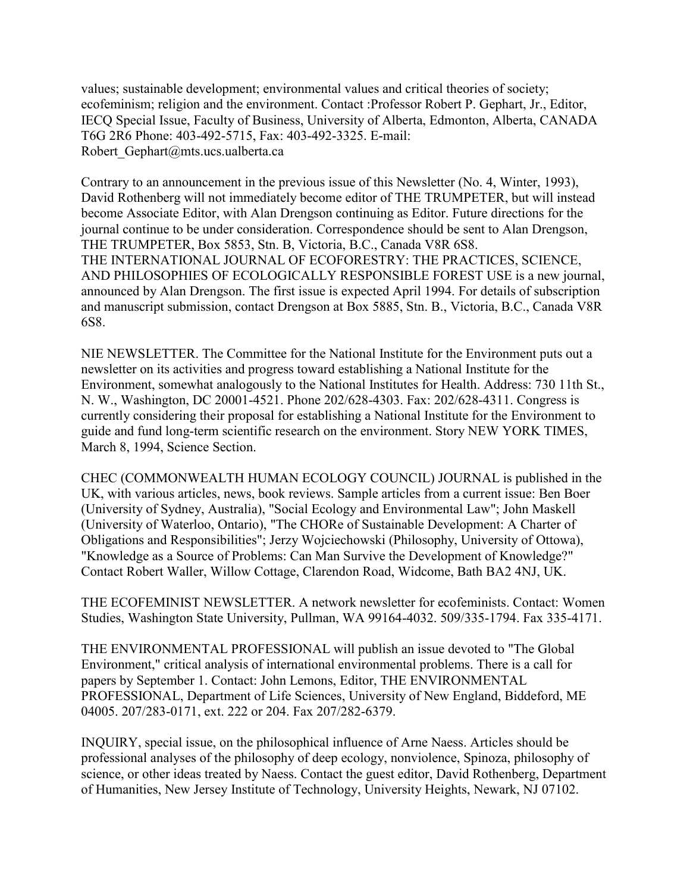values; sustainable development; environmental values and critical theories of society; ecofeminism; religion and the environment. Contact :Professor Robert P. Gephart, Jr., Editor, IECQ Special Issue, Faculty of Business, University of Alberta, Edmonton, Alberta, CANADA T6G 2R6 Phone: 403-492-5715, Fax: 403-492-3325. E-mail: Robert Gephart@mts.ucs.ualberta.ca

Contrary to an announcement in the previous issue of this Newsletter (No. 4, Winter, 1993), David Rothenberg will not immediately become editor of THE TRUMPETER, but will instead become Associate Editor, with Alan Drengson continuing as Editor. Future directions for the journal continue to be under consideration. Correspondence should be sent to Alan Drengson, THE TRUMPETER, Box 5853, Stn. B, Victoria, B.C., Canada V8R 6S8. THE INTERNATIONAL JOURNAL OF ECOFORESTRY: THE PRACTICES, SCIENCE, AND PHILOSOPHIES OF ECOLOGICALLY RESPONSIBLE FOREST USE is a new journal, announced by Alan Drengson. The first issue is expected April 1994. For details of subscription and manuscript submission, contact Drengson at Box 5885, Stn. B., Victoria, B.C., Canada V8R 6S8.

NIE NEWSLETTER. The Committee for the National Institute for the Environment puts out a newsletter on its activities and progress toward establishing a National Institute for the Environment, somewhat analogously to the National Institutes for Health. Address: 730 11th St., N. W., Washington, DC 20001-4521. Phone 202/628-4303. Fax: 202/628-4311. Congress is currently considering their proposal for establishing a National Institute for the Environment to guide and fund long-term scientific research on the environment. Story NEW YORK TIMES, March 8, 1994, Science Section.

CHEC (COMMONWEALTH HUMAN ECOLOGY COUNCIL) JOURNAL is published in the UK, with various articles, news, book reviews. Sample articles from a current issue: Ben Boer (University of Sydney, Australia), "Social Ecology and Environmental Law"; John Maskell (University of Waterloo, Ontario), "The CHORe of Sustainable Development: A Charter of Obligations and Responsibilities"; Jerzy Wojciechowski (Philosophy, University of Ottowa), "Knowledge as a Source of Problems: Can Man Survive the Development of Knowledge?" Contact Robert Waller, Willow Cottage, Clarendon Road, Widcome, Bath BA2 4NJ, UK.

THE ECOFEMINIST NEWSLETTER. A network newsletter for ecofeminists. Contact: Women Studies, Washington State University, Pullman, WA 99164-4032. 509/335-1794. Fax 335-4171.

THE ENVIRONMENTAL PROFESSIONAL will publish an issue devoted to "The Global Environment," critical analysis of international environmental problems. There is a call for papers by September 1. Contact: John Lemons, Editor, THE ENVIRONMENTAL PROFESSIONAL, Department of Life Sciences, University of New England, Biddeford, ME 04005. 207/283-0171, ext. 222 or 204. Fax 207/282-6379.

INQUIRY, special issue, on the philosophical influence of Arne Naess. Articles should be professional analyses of the philosophy of deep ecology, nonviolence, Spinoza, philosophy of science, or other ideas treated by Naess. Contact the guest editor, David Rothenberg, Department of Humanities, New Jersey Institute of Technology, University Heights, Newark, NJ 07102.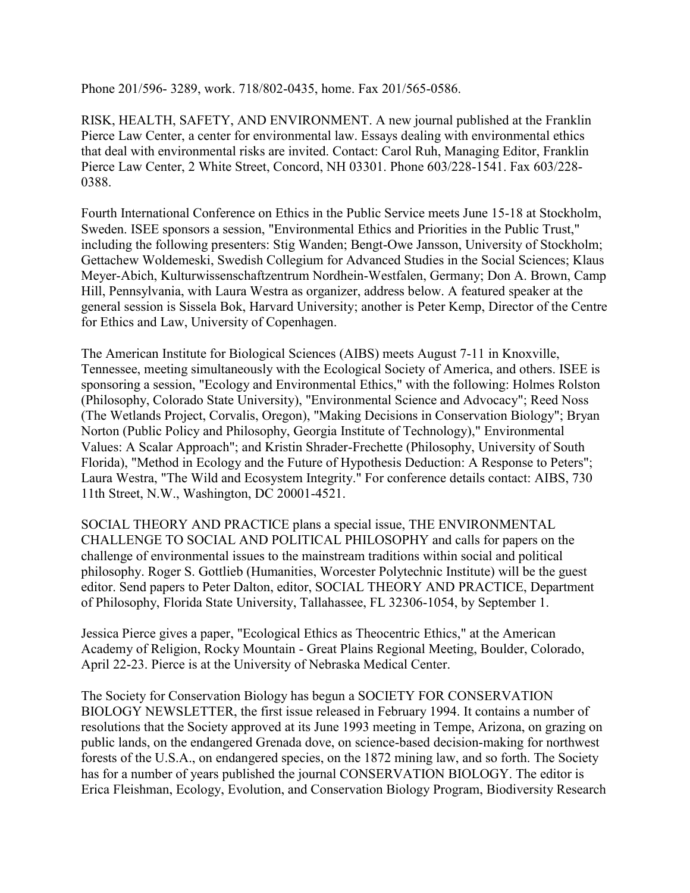Phone 201/596- 3289, work. 718/802-0435, home. Fax 201/565-0586.

RISK, HEALTH, SAFETY, AND ENVIRONMENT. A new journal published at the Franklin Pierce Law Center, a center for environmental law. Essays dealing with environmental ethics that deal with environmental risks are invited. Contact: Carol Ruh, Managing Editor, Franklin Pierce Law Center, 2 White Street, Concord, NH 03301. Phone 603/228-1541. Fax 603/228- 0388.

Fourth International Conference on Ethics in the Public Service meets June 15-18 at Stockholm, Sweden. ISEE sponsors a session, "Environmental Ethics and Priorities in the Public Trust," including the following presenters: Stig Wanden; Bengt-Owe Jansson, University of Stockholm; Gettachew Woldemeski, Swedish Collegium for Advanced Studies in the Social Sciences; Klaus Meyer-Abich, Kulturwissenschaftzentrum Nordhein-Westfalen, Germany; Don A. Brown, Camp Hill, Pennsylvania, with Laura Westra as organizer, address below. A featured speaker at the general session is Sissela Bok, Harvard University; another is Peter Kemp, Director of the Centre for Ethics and Law, University of Copenhagen.

The American Institute for Biological Sciences (AIBS) meets August 7-11 in Knoxville, Tennessee, meeting simultaneously with the Ecological Society of America, and others. ISEE is sponsoring a session, "Ecology and Environmental Ethics," with the following: Holmes Rolston (Philosophy, Colorado State University), "Environmental Science and Advocacy"; Reed Noss (The Wetlands Project, Corvalis, Oregon), "Making Decisions in Conservation Biology"; Bryan Norton (Public Policy and Philosophy, Georgia Institute of Technology)," Environmental Values: A Scalar Approach"; and Kristin Shrader-Frechette (Philosophy, University of South Florida), "Method in Ecology and the Future of Hypothesis Deduction: A Response to Peters"; Laura Westra, "The Wild and Ecosystem Integrity." For conference details contact: AIBS, 730 11th Street, N.W., Washington, DC 20001-4521.

SOCIAL THEORY AND PRACTICE plans a special issue, THE ENVIRONMENTAL CHALLENGE TO SOCIAL AND POLITICAL PHILOSOPHY and calls for papers on the challenge of environmental issues to the mainstream traditions within social and political philosophy. Roger S. Gottlieb (Humanities, Worcester Polytechnic Institute) will be the guest editor. Send papers to Peter Dalton, editor, SOCIAL THEORY AND PRACTICE, Department of Philosophy, Florida State University, Tallahassee, FL 32306-1054, by September 1.

Jessica Pierce gives a paper, "Ecological Ethics as Theocentric Ethics," at the American Academy of Religion, Rocky Mountain - Great Plains Regional Meeting, Boulder, Colorado, April 22-23. Pierce is at the University of Nebraska Medical Center.

The Society for Conservation Biology has begun a SOCIETY FOR CONSERVATION BIOLOGY NEWSLETTER, the first issue released in February 1994. It contains a number of resolutions that the Society approved at its June 1993 meeting in Tempe, Arizona, on grazing on public lands, on the endangered Grenada dove, on science-based decision-making for northwest forests of the U.S.A., on endangered species, on the 1872 mining law, and so forth. The Society has for a number of years published the journal CONSERVATION BIOLOGY. The editor is Erica Fleishman, Ecology, Evolution, and Conservation Biology Program, Biodiversity Research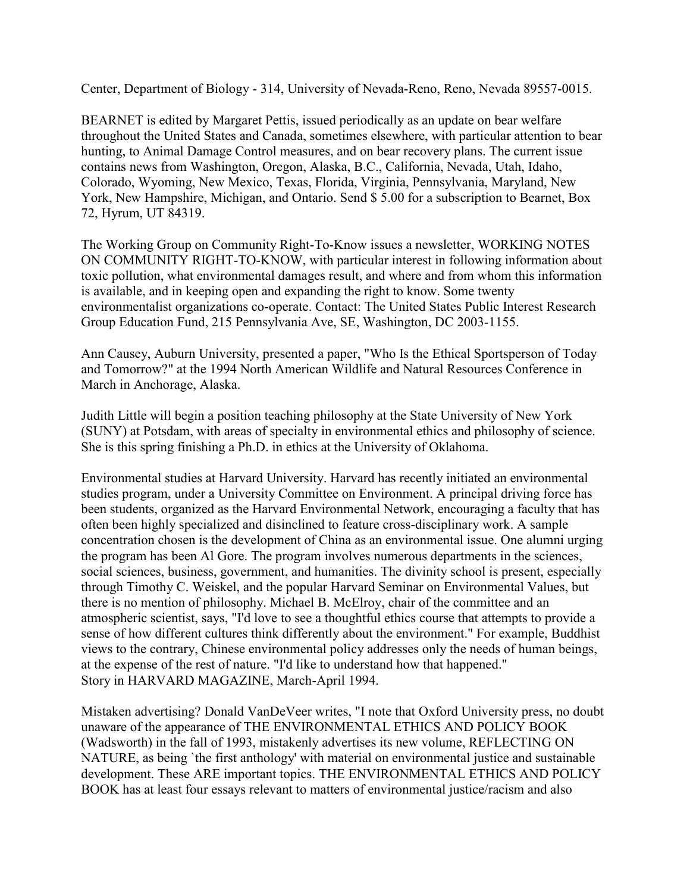Center, Department of Biology - 314, University of Nevada-Reno, Reno, Nevada 89557-0015.

BEARNET is edited by Margaret Pettis, issued periodically as an update on bear welfare throughout the United States and Canada, sometimes elsewhere, with particular attention to bear hunting, to Animal Damage Control measures, and on bear recovery plans. The current issue contains news from Washington, Oregon, Alaska, B.C., California, Nevada, Utah, Idaho, Colorado, Wyoming, New Mexico, Texas, Florida, Virginia, Pennsylvania, Maryland, New York, New Hampshire, Michigan, and Ontario. Send \$ 5.00 for a subscription to Bearnet, Box 72, Hyrum, UT 84319.

The Working Group on Community Right-To-Know issues a newsletter, WORKING NOTES ON COMMUNITY RIGHT-TO-KNOW, with particular interest in following information about toxic pollution, what environmental damages result, and where and from whom this information is available, and in keeping open and expanding the right to know. Some twenty environmentalist organizations co-operate. Contact: The United States Public Interest Research Group Education Fund, 215 Pennsylvania Ave, SE, Washington, DC 2003-1155.

Ann Causey, Auburn University, presented a paper, "Who Is the Ethical Sportsperson of Today and Tomorrow?" at the 1994 North American Wildlife and Natural Resources Conference in March in Anchorage, Alaska.

Judith Little will begin a position teaching philosophy at the State University of New York (SUNY) at Potsdam, with areas of specialty in environmental ethics and philosophy of science. She is this spring finishing a Ph.D. in ethics at the University of Oklahoma.

Environmental studies at Harvard University. Harvard has recently initiated an environmental studies program, under a University Committee on Environment. A principal driving force has been students, organized as the Harvard Environmental Network, encouraging a faculty that has often been highly specialized and disinclined to feature cross-disciplinary work. A sample concentration chosen is the development of China as an environmental issue. One alumni urging the program has been Al Gore. The program involves numerous departments in the sciences, social sciences, business, government, and humanities. The divinity school is present, especially through Timothy C. Weiskel, and the popular Harvard Seminar on Environmental Values, but there is no mention of philosophy. Michael B. McElroy, chair of the committee and an atmospheric scientist, says, "I'd love to see a thoughtful ethics course that attempts to provide a sense of how different cultures think differently about the environment." For example, Buddhist views to the contrary, Chinese environmental policy addresses only the needs of human beings, at the expense of the rest of nature. "I'd like to understand how that happened." Story in HARVARD MAGAZINE, March-April 1994.

Mistaken advertising? Donald VanDeVeer writes, "I note that Oxford University press, no doubt unaware of the appearance of THE ENVIRONMENTAL ETHICS AND POLICY BOOK (Wadsworth) in the fall of 1993, mistakenly advertises its new volume, REFLECTING ON NATURE, as being `the first anthology' with material on environmental justice and sustainable development. These ARE important topics. THE ENVIRONMENTAL ETHICS AND POLICY BOOK has at least four essays relevant to matters of environmental justice/racism and also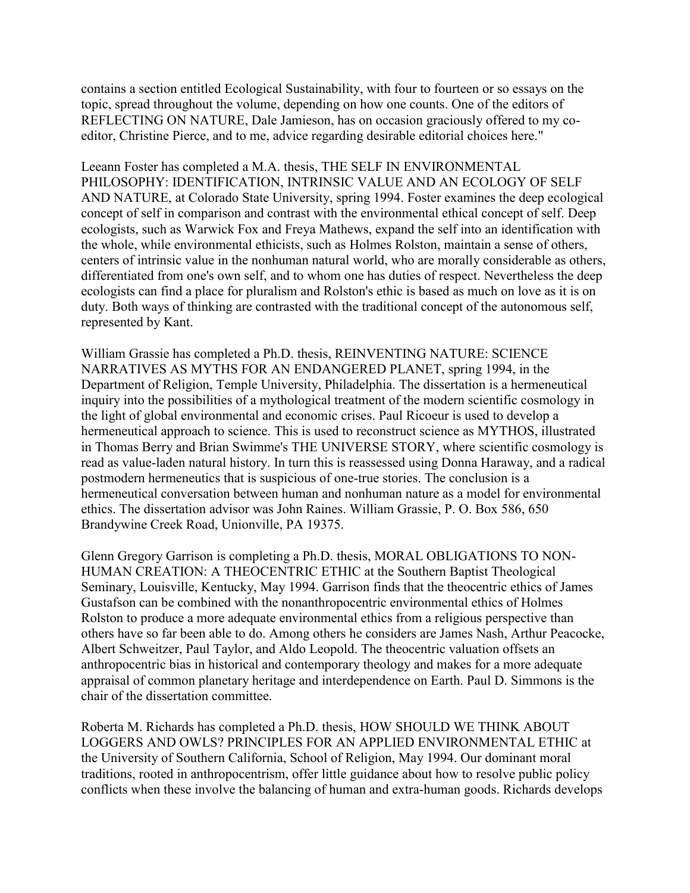contains a section entitled Ecological Sustainability, with four to fourteen or so essays on the topic, spread throughout the volume, depending on how one counts. One of the editors of REFLECTING ON NATURE, Dale Jamieson, has on occasion graciously offered to my coeditor, Christine Pierce, and to me, advice regarding desirable editorial choices here."

Leeann Foster has completed a M.A. thesis, THE SELF IN ENVIRONMENTAL PHILOSOPHY: IDENTIFICATION, INTRINSIC VALUE AND AN ECOLOGY OF SELF AND NATURE, at Colorado State University, spring 1994. Foster examines the deep ecological concept of self in comparison and contrast with the environmental ethical concept of self. Deep ecologists, such as Warwick Fox and Freya Mathews, expand the self into an identification with the whole, while environmental ethicists, such as Holmes Rolston, maintain a sense of others, centers of intrinsic value in the nonhuman natural world, who are morally considerable as others, differentiated from one's own self, and to whom one has duties of respect. Nevertheless the deep ecologists can find a place for pluralism and Rolston's ethic is based as much on love as it is on duty. Both ways of thinking are contrasted with the traditional concept of the autonomous self, represented by Kant.

William Grassie has completed a Ph.D. thesis, REINVENTING NATURE: SCIENCE NARRATIVES AS MYTHS FOR AN ENDANGERED PLANET, spring 1994, in the Department of Religion, Temple University, Philadelphia. The dissertation is a hermeneutical inquiry into the possibilities of a mythological treatment of the modern scientific cosmology in the light of global environmental and economic crises. Paul Ricoeur is used to develop a hermeneutical approach to science. This is used to reconstruct science as MYTHOS, illustrated in Thomas Berry and Brian Swimme's THE UNIVERSE STORY, where scientific cosmology is read as value-laden natural history. In turn this is reassessed using Donna Haraway, and a radical postmodern hermeneutics that is suspicious of one-true stories. The conclusion is a hermeneutical conversation between human and nonhuman nature as a model for environmental ethics. The dissertation advisor was John Raines. William Grassie, P. O. Box 586, 650 Brandywine Creek Road, Unionville, PA 19375.

Glenn Gregory Garrison is completing a Ph.D. thesis, MORAL OBLIGATIONS TO NON-HUMAN CREATION: A THEOCENTRIC ETHIC at the Southern Baptist Theological Seminary, Louisville, Kentucky, May 1994. Garrison finds that the theocentric ethics of James Gustafson can be combined with the nonanthropocentric environmental ethics of Holmes Rolston to produce a more adequate environmental ethics from a religious perspective than others have so far been able to do. Among others he considers are James Nash, Arthur Peacocke, Albert Schweitzer, Paul Taylor, and Aldo Leopold. The theocentric valuation offsets an anthropocentric bias in historical and contemporary theology and makes for a more adequate appraisal of common planetary heritage and interdependence on Earth. Paul D. Simmons is the chair of the dissertation committee.

Roberta M. Richards has completed a Ph.D. thesis, HOW SHOULD WE THINK ABOUT LOGGERS AND OWLS? PRINCIPLES FOR AN APPLIED ENVIRONMENTAL ETHIC at the University of Southern California, School of Religion, May 1994. Our dominant moral traditions, rooted in anthropocentrism, offer little guidance about how to resolve public policy conflicts when these involve the balancing of human and extra-human goods. Richards develops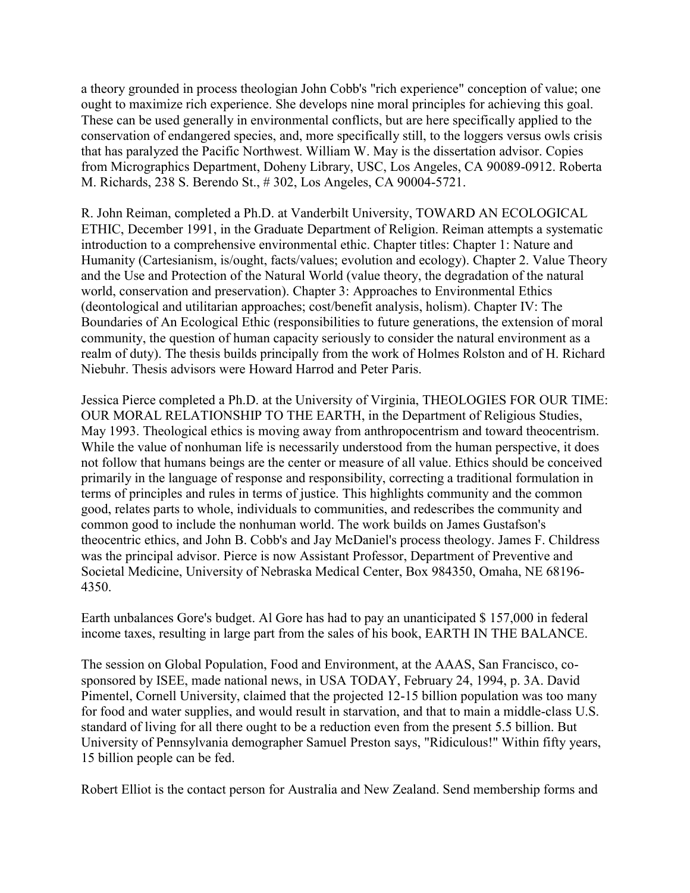a theory grounded in process theologian John Cobb's "rich experience" conception of value; one ought to maximize rich experience. She develops nine moral principles for achieving this goal. These can be used generally in environmental conflicts, but are here specifically applied to the conservation of endangered species, and, more specifically still, to the loggers versus owls crisis that has paralyzed the Pacific Northwest. William W. May is the dissertation advisor. Copies from Micrographics Department, Doheny Library, USC, Los Angeles, CA 90089-0912. Roberta M. Richards, 238 S. Berendo St., # 302, Los Angeles, CA 90004-5721.

R. John Reiman, completed a Ph.D. at Vanderbilt University, TOWARD AN ECOLOGICAL ETHIC, December 1991, in the Graduate Department of Religion. Reiman attempts a systematic introduction to a comprehensive environmental ethic. Chapter titles: Chapter 1: Nature and Humanity (Cartesianism, is/ought, facts/values; evolution and ecology). Chapter 2. Value Theory and the Use and Protection of the Natural World (value theory, the degradation of the natural world, conservation and preservation). Chapter 3: Approaches to Environmental Ethics (deontological and utilitarian approaches; cost/benefit analysis, holism). Chapter IV: The Boundaries of An Ecological Ethic (responsibilities to future generations, the extension of moral community, the question of human capacity seriously to consider the natural environment as a realm of duty). The thesis builds principally from the work of Holmes Rolston and of H. Richard Niebuhr. Thesis advisors were Howard Harrod and Peter Paris.

Jessica Pierce completed a Ph.D. at the University of Virginia, THEOLOGIES FOR OUR TIME: OUR MORAL RELATIONSHIP TO THE EARTH, in the Department of Religious Studies, May 1993. Theological ethics is moving away from anthropocentrism and toward theocentrism. While the value of nonhuman life is necessarily understood from the human perspective, it does not follow that humans beings are the center or measure of all value. Ethics should be conceived primarily in the language of response and responsibility, correcting a traditional formulation in terms of principles and rules in terms of justice. This highlights community and the common good, relates parts to whole, individuals to communities, and redescribes the community and common good to include the nonhuman world. The work builds on James Gustafson's theocentric ethics, and John B. Cobb's and Jay McDaniel's process theology. James F. Childress was the principal advisor. Pierce is now Assistant Professor, Department of Preventive and Societal Medicine, University of Nebraska Medical Center, Box 984350, Omaha, NE 68196- 4350.

Earth unbalances Gore's budget. Al Gore has had to pay an unanticipated \$ 157,000 in federal income taxes, resulting in large part from the sales of his book, EARTH IN THE BALANCE.

The session on Global Population, Food and Environment, at the AAAS, San Francisco, cosponsored by ISEE, made national news, in USA TODAY, February 24, 1994, p. 3A. David Pimentel, Cornell University, claimed that the projected 12-15 billion population was too many for food and water supplies, and would result in starvation, and that to main a middle-class U.S. standard of living for all there ought to be a reduction even from the present 5.5 billion. But University of Pennsylvania demographer Samuel Preston says, "Ridiculous!" Within fifty years, 15 billion people can be fed.

Robert Elliot is the contact person for Australia and New Zealand. Send membership forms and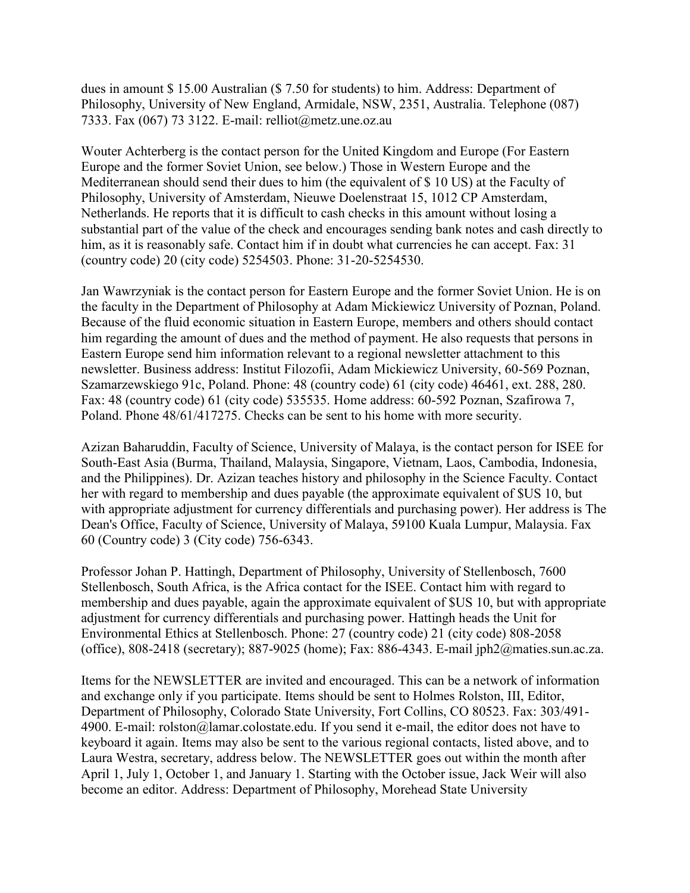dues in amount \$ 15.00 Australian (\$ 7.50 for students) to him. Address: Department of Philosophy, University of New England, Armidale, NSW, 2351, Australia. Telephone (087) 7333. Fax (067) 73 3122. E-mail: relliot@metz.une.oz.au

Wouter Achterberg is the contact person for the United Kingdom and Europe (For Eastern Europe and the former Soviet Union, see below.) Those in Western Europe and the Mediterranean should send their dues to him (the equivalent of \$ 10 US) at the Faculty of Philosophy, University of Amsterdam, Nieuwe Doelenstraat 15, 1012 CP Amsterdam, Netherlands. He reports that it is difficult to cash checks in this amount without losing a substantial part of the value of the check and encourages sending bank notes and cash directly to him, as it is reasonably safe. Contact him if in doubt what currencies he can accept. Fax: 31 (country code) 20 (city code) 5254503. Phone: 31-20-5254530.

Jan Wawrzyniak is the contact person for Eastern Europe and the former Soviet Union. He is on the faculty in the Department of Philosophy at Adam Mickiewicz University of Poznan, Poland. Because of the fluid economic situation in Eastern Europe, members and others should contact him regarding the amount of dues and the method of payment. He also requests that persons in Eastern Europe send him information relevant to a regional newsletter attachment to this newsletter. Business address: Institut Filozofii, Adam Mickiewicz University, 60-569 Poznan, Szamarzewskiego 91c, Poland. Phone: 48 (country code) 61 (city code) 46461, ext. 288, 280. Fax: 48 (country code) 61 (city code) 535535. Home address: 60-592 Poznan, Szafirowa 7, Poland. Phone 48/61/417275. Checks can be sent to his home with more security.

Azizan Baharuddin, Faculty of Science, University of Malaya, is the contact person for ISEE for South-East Asia (Burma, Thailand, Malaysia, Singapore, Vietnam, Laos, Cambodia, Indonesia, and the Philippines). Dr. Azizan teaches history and philosophy in the Science Faculty. Contact her with regard to membership and dues payable (the approximate equivalent of \$US 10, but with appropriate adjustment for currency differentials and purchasing power). Her address is The Dean's Office, Faculty of Science, University of Malaya, 59100 Kuala Lumpur, Malaysia. Fax 60 (Country code) 3 (City code) 756-6343.

Professor Johan P. Hattingh, Department of Philosophy, University of Stellenbosch, 7600 Stellenbosch, South Africa, is the Africa contact for the ISEE. Contact him with regard to membership and dues payable, again the approximate equivalent of \$US 10, but with appropriate adjustment for currency differentials and purchasing power. Hattingh heads the Unit for Environmental Ethics at Stellenbosch. Phone: 27 (country code) 21 (city code) 808-2058 (office), 808-2418 (secretary); 887-9025 (home); Fax: 886-4343. E-mail jph2@maties.sun.ac.za.

Items for the NEWSLETTER are invited and encouraged. This can be a network of information and exchange only if you participate. Items should be sent to Holmes Rolston, III, Editor, Department of Philosophy, Colorado State University, Fort Collins, CO 80523. Fax: 303/491- 4900. E-mail: rolston@lamar.colostate.edu. If you send it e-mail, the editor does not have to keyboard it again. Items may also be sent to the various regional contacts, listed above, and to Laura Westra, secretary, address below. The NEWSLETTER goes out within the month after April 1, July 1, October 1, and January 1. Starting with the October issue, Jack Weir will also become an editor. Address: Department of Philosophy, Morehead State University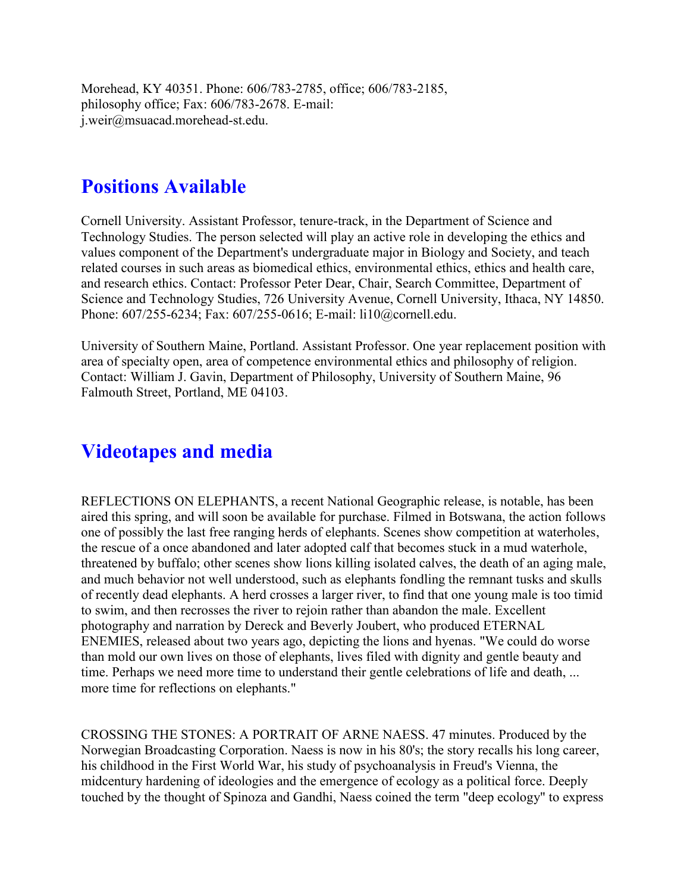Morehead, KY 40351. Phone: 606/783-2785, office; 606/783-2185, philosophy office; Fax: 606/783-2678. E-mail: j.weir@msuacad.morehead-st.edu.

### **Positions Available**

Cornell University. Assistant Professor, tenure-track, in the Department of Science and Technology Studies. The person selected will play an active role in developing the ethics and values component of the Department's undergraduate major in Biology and Society, and teach related courses in such areas as biomedical ethics, environmental ethics, ethics and health care, and research ethics. Contact: Professor Peter Dear, Chair, Search Committee, Department of Science and Technology Studies, 726 University Avenue, Cornell University, Ithaca, NY 14850. Phone: 607/255-6234; Fax: 607/255-0616; E-mail: li10@cornell.edu.

University of Southern Maine, Portland. Assistant Professor. One year replacement position with area of specialty open, area of competence environmental ethics and philosophy of religion. Contact: William J. Gavin, Department of Philosophy, University of Southern Maine, 96 Falmouth Street, Portland, ME 04103.

### **Videotapes and media**

REFLECTIONS ON ELEPHANTS, a recent National Geographic release, is notable, has been aired this spring, and will soon be available for purchase. Filmed in Botswana, the action follows one of possibly the last free ranging herds of elephants. Scenes show competition at waterholes, the rescue of a once abandoned and later adopted calf that becomes stuck in a mud waterhole, threatened by buffalo; other scenes show lions killing isolated calves, the death of an aging male, and much behavior not well understood, such as elephants fondling the remnant tusks and skulls of recently dead elephants. A herd crosses a larger river, to find that one young male is too timid to swim, and then recrosses the river to rejoin rather than abandon the male. Excellent photography and narration by Dereck and Beverly Joubert, who produced ETERNAL ENEMIES, released about two years ago, depicting the lions and hyenas. "We could do worse than mold our own lives on those of elephants, lives filed with dignity and gentle beauty and time. Perhaps we need more time to understand their gentle celebrations of life and death, ... more time for reflections on elephants."

CROSSING THE STONES: A PORTRAIT OF ARNE NAESS. 47 minutes. Produced by the Norwegian Broadcasting Corporation. Naess is now in his 80's; the story recalls his long career, his childhood in the First World War, his study of psychoanalysis in Freud's Vienna, the midcentury hardening of ideologies and the emergence of ecology as a political force. Deeply touched by the thought of Spinoza and Gandhi, Naess coined the term "deep ecology" to express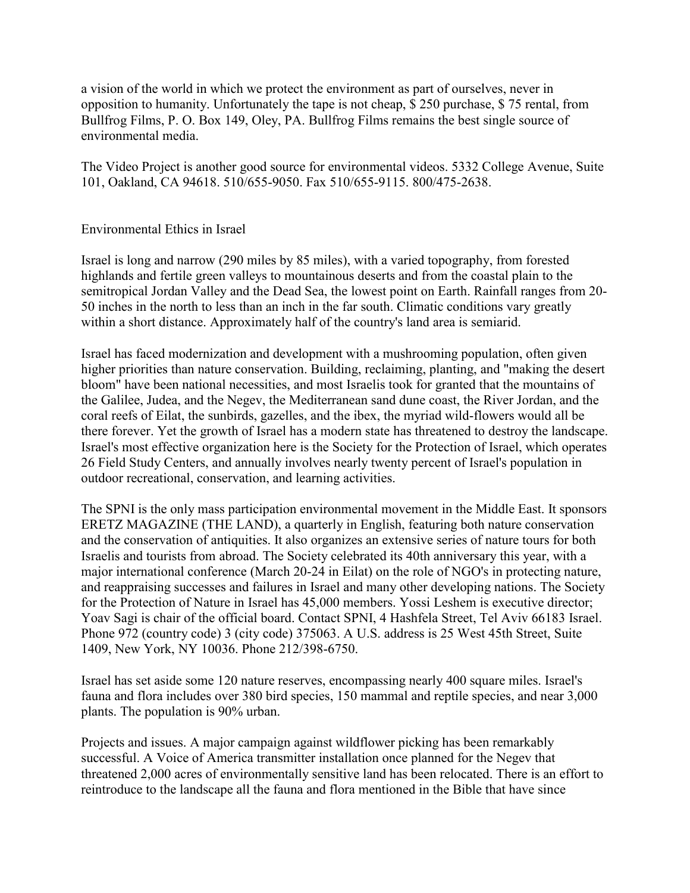a vision of the world in which we protect the environment as part of ourselves, never in opposition to humanity. Unfortunately the tape is not cheap, \$ 250 purchase, \$ 75 rental, from Bullfrog Films, P. O. Box 149, Oley, PA. Bullfrog Films remains the best single source of environmental media.

The Video Project is another good source for environmental videos. 5332 College Avenue, Suite 101, Oakland, CA 94618. 510/655-9050. Fax 510/655-9115. 800/475-2638.

#### Environmental Ethics in Israel

Israel is long and narrow (290 miles by 85 miles), with a varied topography, from forested highlands and fertile green valleys to mountainous deserts and from the coastal plain to the semitropical Jordan Valley and the Dead Sea, the lowest point on Earth. Rainfall ranges from 20- 50 inches in the north to less than an inch in the far south. Climatic conditions vary greatly within a short distance. Approximately half of the country's land area is semiarid.

Israel has faced modernization and development with a mushrooming population, often given higher priorities than nature conservation. Building, reclaiming, planting, and "making the desert bloom" have been national necessities, and most Israelis took for granted that the mountains of the Galilee, Judea, and the Negev, the Mediterranean sand dune coast, the River Jordan, and the coral reefs of Eilat, the sunbirds, gazelles, and the ibex, the myriad wild-flowers would all be there forever. Yet the growth of Israel has a modern state has threatened to destroy the landscape. Israel's most effective organization here is the Society for the Protection of Israel, which operates 26 Field Study Centers, and annually involves nearly twenty percent of Israel's population in outdoor recreational, conservation, and learning activities.

The SPNI is the only mass participation environmental movement in the Middle East. It sponsors ERETZ MAGAZINE (THE LAND), a quarterly in English, featuring both nature conservation and the conservation of antiquities. It also organizes an extensive series of nature tours for both Israelis and tourists from abroad. The Society celebrated its 40th anniversary this year, with a major international conference (March 20-24 in Eilat) on the role of NGO's in protecting nature, and reappraising successes and failures in Israel and many other developing nations. The Society for the Protection of Nature in Israel has 45,000 members. Yossi Leshem is executive director; Yoav Sagi is chair of the official board. Contact SPNI, 4 Hashfela Street, Tel Aviv 66183 Israel. Phone 972 (country code) 3 (city code) 375063. A U.S. address is 25 West 45th Street, Suite 1409, New York, NY 10036. Phone 212/398-6750.

Israel has set aside some 120 nature reserves, encompassing nearly 400 square miles. Israel's fauna and flora includes over 380 bird species, 150 mammal and reptile species, and near 3,000 plants. The population is 90% urban.

Projects and issues. A major campaign against wildflower picking has been remarkably successful. A Voice of America transmitter installation once planned for the Negev that threatened 2,000 acres of environmentally sensitive land has been relocated. There is an effort to reintroduce to the landscape all the fauna and flora mentioned in the Bible that have since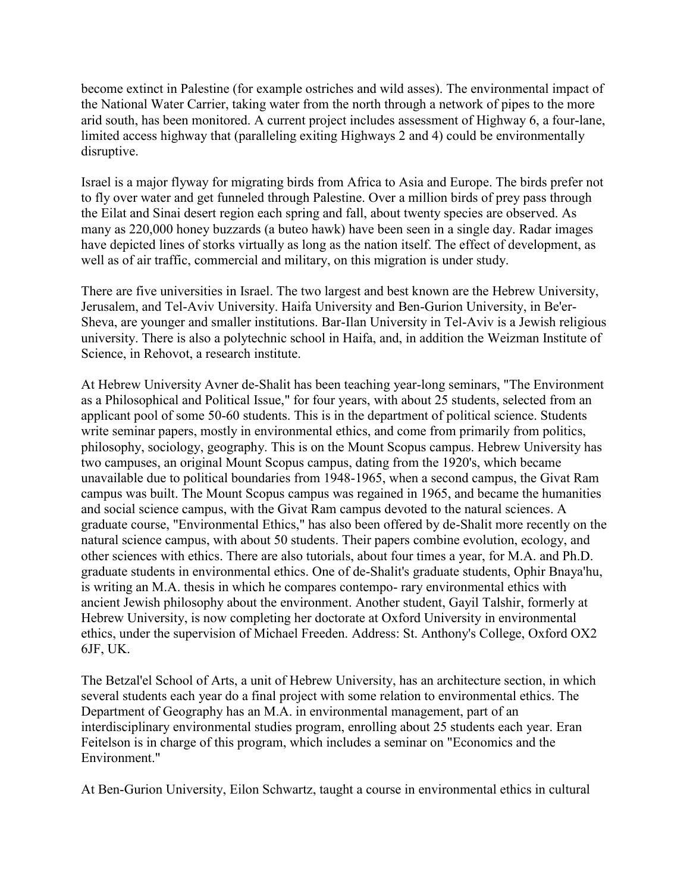become extinct in Palestine (for example ostriches and wild asses). The environmental impact of the National Water Carrier, taking water from the north through a network of pipes to the more arid south, has been monitored. A current project includes assessment of Highway 6, a four-lane, limited access highway that (paralleling exiting Highways 2 and 4) could be environmentally disruptive.

Israel is a major flyway for migrating birds from Africa to Asia and Europe. The birds prefer not to fly over water and get funneled through Palestine. Over a million birds of prey pass through the Eilat and Sinai desert region each spring and fall, about twenty species are observed. As many as 220,000 honey buzzards (a buteo hawk) have been seen in a single day. Radar images have depicted lines of storks virtually as long as the nation itself. The effect of development, as well as of air traffic, commercial and military, on this migration is under study.

There are five universities in Israel. The two largest and best known are the Hebrew University, Jerusalem, and Tel-Aviv University. Haifa University and Ben-Gurion University, in Be'er-Sheva, are younger and smaller institutions. Bar-Ilan University in Tel-Aviv is a Jewish religious university. There is also a polytechnic school in Haifa, and, in addition the Weizman Institute of Science, in Rehovot, a research institute.

At Hebrew University Avner de-Shalit has been teaching year-long seminars, "The Environment as a Philosophical and Political Issue," for four years, with about 25 students, selected from an applicant pool of some 50-60 students. This is in the department of political science. Students write seminar papers, mostly in environmental ethics, and come from primarily from politics, philosophy, sociology, geography. This is on the Mount Scopus campus. Hebrew University has two campuses, an original Mount Scopus campus, dating from the 1920's, which became unavailable due to political boundaries from 1948-1965, when a second campus, the Givat Ram campus was built. The Mount Scopus campus was regained in 1965, and became the humanities and social science campus, with the Givat Ram campus devoted to the natural sciences. A graduate course, "Environmental Ethics," has also been offered by de-Shalit more recently on the natural science campus, with about 50 students. Their papers combine evolution, ecology, and other sciences with ethics. There are also tutorials, about four times a year, for M.A. and Ph.D. graduate students in environmental ethics. One of de-Shalit's graduate students, Ophir Bnaya'hu, is writing an M.A. thesis in which he compares contempo- rary environmental ethics with ancient Jewish philosophy about the environment. Another student, Gayil Talshir, formerly at Hebrew University, is now completing her doctorate at Oxford University in environmental ethics, under the supervision of Michael Freeden. Address: St. Anthony's College, Oxford OX2 6JF, UK.

The Betzal'el School of Arts, a unit of Hebrew University, has an architecture section, in which several students each year do a final project with some relation to environmental ethics. The Department of Geography has an M.A. in environmental management, part of an interdisciplinary environmental studies program, enrolling about 25 students each year. Eran Feitelson is in charge of this program, which includes a seminar on "Economics and the Environment."

At Ben-Gurion University, Eilon Schwartz, taught a course in environmental ethics in cultural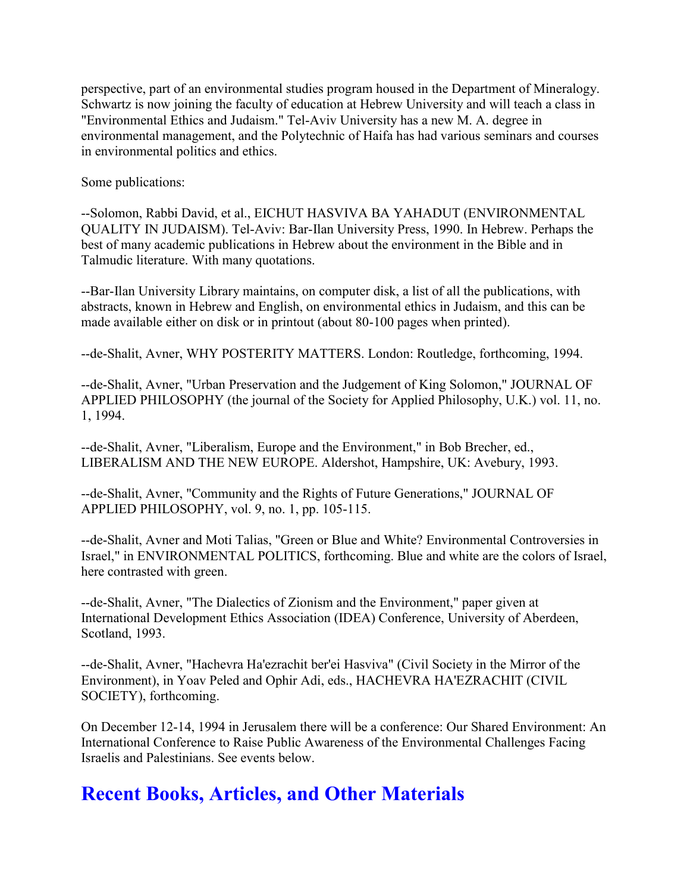perspective, part of an environmental studies program housed in the Department of Mineralogy. Schwartz is now joining the faculty of education at Hebrew University and will teach a class in "Environmental Ethics and Judaism." Tel-Aviv University has a new M. A. degree in environmental management, and the Polytechnic of Haifa has had various seminars and courses in environmental politics and ethics.

Some publications:

--Solomon, Rabbi David, et al., EICHUT HASVIVA BA YAHADUT (ENVIRONMENTAL QUALITY IN JUDAISM). Tel-Aviv: Bar-Ilan University Press, 1990. In Hebrew. Perhaps the best of many academic publications in Hebrew about the environment in the Bible and in Talmudic literature. With many quotations.

--Bar-Ilan University Library maintains, on computer disk, a list of all the publications, with abstracts, known in Hebrew and English, on environmental ethics in Judaism, and this can be made available either on disk or in printout (about 80-100 pages when printed).

--de-Shalit, Avner, WHY POSTERITY MATTERS. London: Routledge, forthcoming, 1994.

--de-Shalit, Avner, "Urban Preservation and the Judgement of King Solomon," JOURNAL OF APPLIED PHILOSOPHY (the journal of the Society for Applied Philosophy, U.K.) vol. 11, no. 1, 1994.

--de-Shalit, Avner, "Liberalism, Europe and the Environment," in Bob Brecher, ed., LIBERALISM AND THE NEW EUROPE. Aldershot, Hampshire, UK: Avebury, 1993.

--de-Shalit, Avner, "Community and the Rights of Future Generations," JOURNAL OF APPLIED PHILOSOPHY, vol. 9, no. 1, pp. 105-115.

--de-Shalit, Avner and Moti Talias, "Green or Blue and White? Environmental Controversies in Israel," in ENVIRONMENTAL POLITICS, forthcoming. Blue and white are the colors of Israel, here contrasted with green.

--de-Shalit, Avner, "The Dialectics of Zionism and the Environment," paper given at International Development Ethics Association (IDEA) Conference, University of Aberdeen, Scotland, 1993.

--de-Shalit, Avner, "Hachevra Ha'ezrachit ber'ei Hasviva" (Civil Society in the Mirror of the Environment), in Yoav Peled and Ophir Adi, eds., HACHEVRA HA'EZRACHIT (CIVIL SOCIETY), forthcoming.

On December 12-14, 1994 in Jerusalem there will be a conference: Our Shared Environment: An International Conference to Raise Public Awareness of the Environmental Challenges Facing Israelis and Palestinians. See events below.

## **Recent Books, Articles, and Other Materials**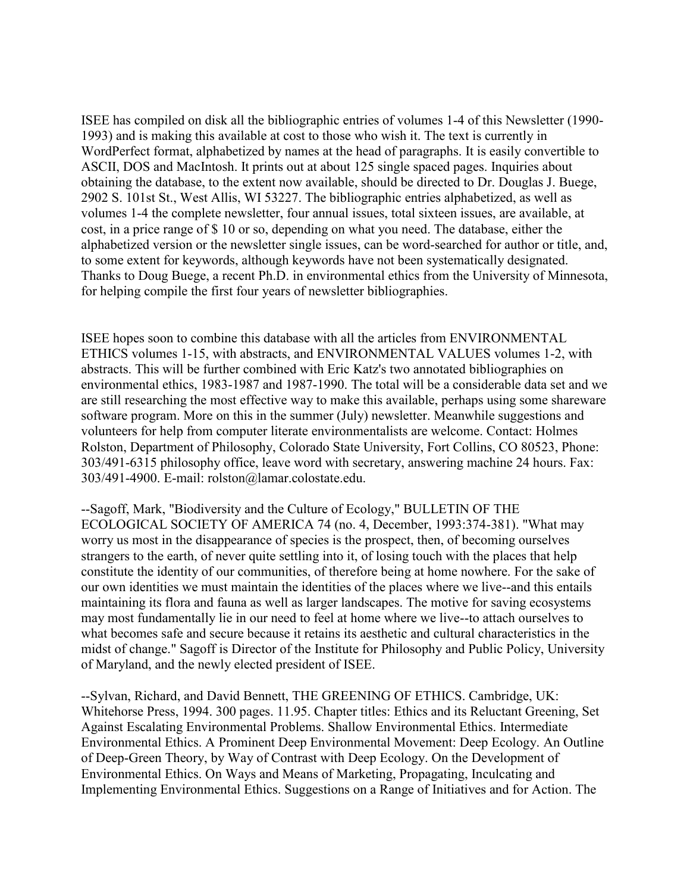ISEE has compiled on disk all the bibliographic entries of volumes 1-4 of this Newsletter (1990- 1993) and is making this available at cost to those who wish it. The text is currently in WordPerfect format, alphabetized by names at the head of paragraphs. It is easily convertible to ASCII, DOS and MacIntosh. It prints out at about 125 single spaced pages. Inquiries about obtaining the database, to the extent now available, should be directed to Dr. Douglas J. Buege, 2902 S. 101st St., West Allis, WI 53227. The bibliographic entries alphabetized, as well as volumes 1-4 the complete newsletter, four annual issues, total sixteen issues, are available, at cost, in a price range of \$ 10 or so, depending on what you need. The database, either the alphabetized version or the newsletter single issues, can be word-searched for author or title, and, to some extent for keywords, although keywords have not been systematically designated. Thanks to Doug Buege, a recent Ph.D. in environmental ethics from the University of Minnesota, for helping compile the first four years of newsletter bibliographies.

ISEE hopes soon to combine this database with all the articles from ENVIRONMENTAL ETHICS volumes 1-15, with abstracts, and ENVIRONMENTAL VALUES volumes 1-2, with abstracts. This will be further combined with Eric Katz's two annotated bibliographies on environmental ethics, 1983-1987 and 1987-1990. The total will be a considerable data set and we are still researching the most effective way to make this available, perhaps using some shareware software program. More on this in the summer (July) newsletter. Meanwhile suggestions and volunteers for help from computer literate environmentalists are welcome. Contact: Holmes Rolston, Department of Philosophy, Colorado State University, Fort Collins, CO 80523, Phone: 303/491-6315 philosophy office, leave word with secretary, answering machine 24 hours. Fax: 303/491-4900. E-mail: rolston@lamar.colostate.edu.

--Sagoff, Mark, "Biodiversity and the Culture of Ecology," BULLETIN OF THE ECOLOGICAL SOCIETY OF AMERICA 74 (no. 4, December, 1993:374-381). "What may worry us most in the disappearance of species is the prospect, then, of becoming ourselves strangers to the earth, of never quite settling into it, of losing touch with the places that help constitute the identity of our communities, of therefore being at home nowhere. For the sake of our own identities we must maintain the identities of the places where we live--and this entails maintaining its flora and fauna as well as larger landscapes. The motive for saving ecosystems may most fundamentally lie in our need to feel at home where we live--to attach ourselves to what becomes safe and secure because it retains its aesthetic and cultural characteristics in the midst of change." Sagoff is Director of the Institute for Philosophy and Public Policy, University of Maryland, and the newly elected president of ISEE.

--Sylvan, Richard, and David Bennett, THE GREENING OF ETHICS. Cambridge, UK: Whitehorse Press, 1994. 300 pages. 11.95. Chapter titles: Ethics and its Reluctant Greening, Set Against Escalating Environmental Problems. Shallow Environmental Ethics. Intermediate Environmental Ethics. A Prominent Deep Environmental Movement: Deep Ecology. An Outline of Deep-Green Theory, by Way of Contrast with Deep Ecology. On the Development of Environmental Ethics. On Ways and Means of Marketing, Propagating, Inculcating and Implementing Environmental Ethics. Suggestions on a Range of Initiatives and for Action. The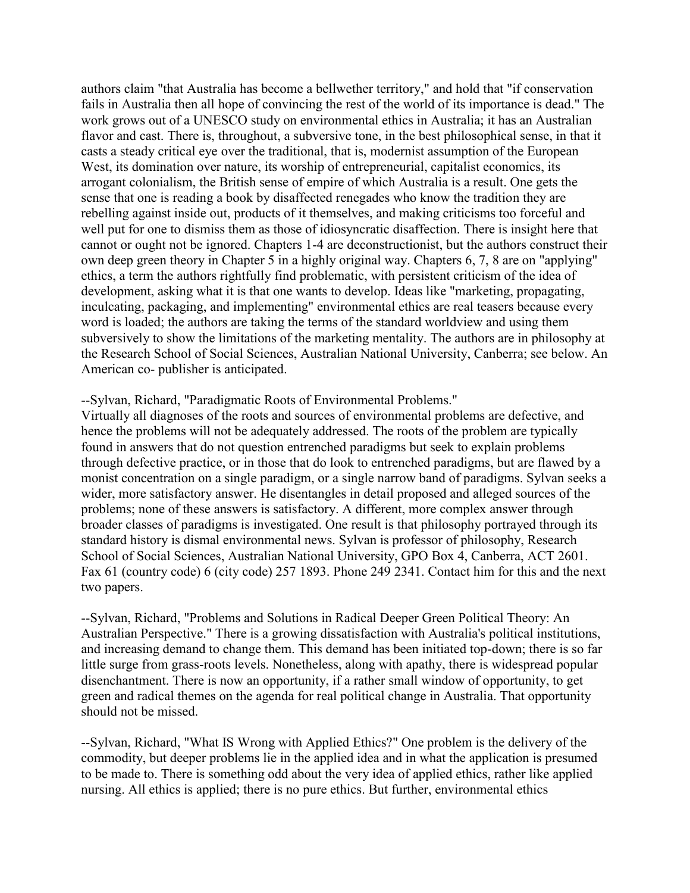authors claim "that Australia has become a bellwether territory," and hold that "if conservation fails in Australia then all hope of convincing the rest of the world of its importance is dead." The work grows out of a UNESCO study on environmental ethics in Australia; it has an Australian flavor and cast. There is, throughout, a subversive tone, in the best philosophical sense, in that it casts a steady critical eye over the traditional, that is, modernist assumption of the European West, its domination over nature, its worship of entrepreneurial, capitalist economics, its arrogant colonialism, the British sense of empire of which Australia is a result. One gets the sense that one is reading a book by disaffected renegades who know the tradition they are rebelling against inside out, products of it themselves, and making criticisms too forceful and well put for one to dismiss them as those of idiosyncratic disaffection. There is insight here that cannot or ought not be ignored. Chapters 1-4 are deconstructionist, but the authors construct their own deep green theory in Chapter 5 in a highly original way. Chapters 6, 7, 8 are on "applying" ethics, a term the authors rightfully find problematic, with persistent criticism of the idea of development, asking what it is that one wants to develop. Ideas like "marketing, propagating, inculcating, packaging, and implementing" environmental ethics are real teasers because every word is loaded; the authors are taking the terms of the standard worldview and using them subversively to show the limitations of the marketing mentality. The authors are in philosophy at the Research School of Social Sciences, Australian National University, Canberra; see below. An American co- publisher is anticipated.

#### --Sylvan, Richard, "Paradigmatic Roots of Environmental Problems."

Virtually all diagnoses of the roots and sources of environmental problems are defective, and hence the problems will not be adequately addressed. The roots of the problem are typically found in answers that do not question entrenched paradigms but seek to explain problems through defective practice, or in those that do look to entrenched paradigms, but are flawed by a monist concentration on a single paradigm, or a single narrow band of paradigms. Sylvan seeks a wider, more satisfactory answer. He disentangles in detail proposed and alleged sources of the problems; none of these answers is satisfactory. A different, more complex answer through broader classes of paradigms is investigated. One result is that philosophy portrayed through its standard history is dismal environmental news. Sylvan is professor of philosophy, Research School of Social Sciences, Australian National University, GPO Box 4, Canberra, ACT 2601. Fax 61 (country code) 6 (city code) 257 1893. Phone 249 2341. Contact him for this and the next two papers.

--Sylvan, Richard, "Problems and Solutions in Radical Deeper Green Political Theory: An Australian Perspective." There is a growing dissatisfaction with Australia's political institutions, and increasing demand to change them. This demand has been initiated top-down; there is so far little surge from grass-roots levels. Nonetheless, along with apathy, there is widespread popular disenchantment. There is now an opportunity, if a rather small window of opportunity, to get green and radical themes on the agenda for real political change in Australia. That opportunity should not be missed.

--Sylvan, Richard, "What IS Wrong with Applied Ethics?" One problem is the delivery of the commodity, but deeper problems lie in the applied idea and in what the application is presumed to be made to. There is something odd about the very idea of applied ethics, rather like applied nursing. All ethics is applied; there is no pure ethics. But further, environmental ethics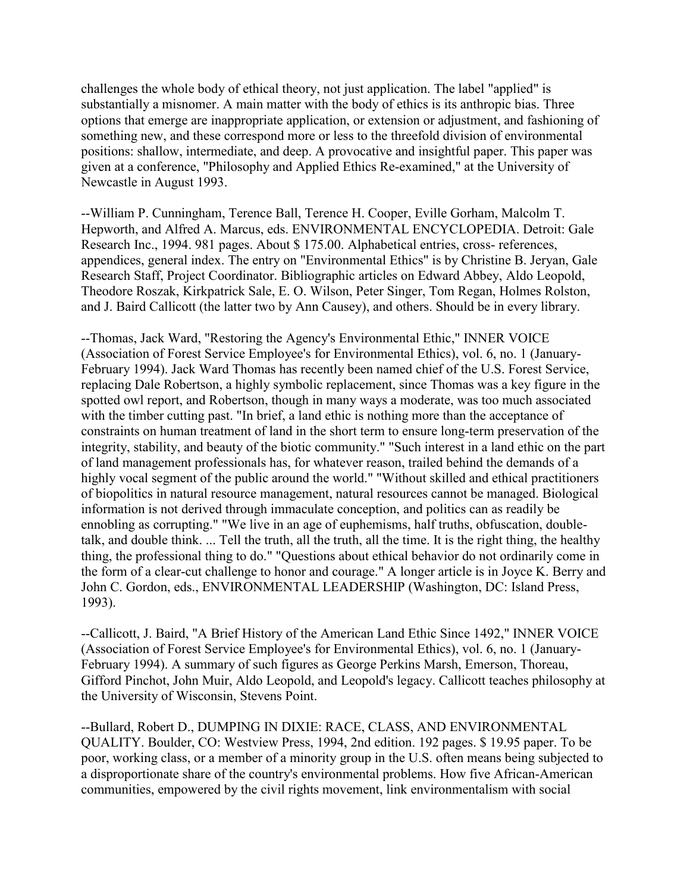challenges the whole body of ethical theory, not just application. The label "applied" is substantially a misnomer. A main matter with the body of ethics is its anthropic bias. Three options that emerge are inappropriate application, or extension or adjustment, and fashioning of something new, and these correspond more or less to the threefold division of environmental positions: shallow, intermediate, and deep. A provocative and insightful paper. This paper was given at a conference, "Philosophy and Applied Ethics Re-examined," at the University of Newcastle in August 1993.

--William P. Cunningham, Terence Ball, Terence H. Cooper, Eville Gorham, Malcolm T. Hepworth, and Alfred A. Marcus, eds. ENVIRONMENTAL ENCYCLOPEDIA. Detroit: Gale Research Inc., 1994. 981 pages. About \$ 175.00. Alphabetical entries, cross- references, appendices, general index. The entry on "Environmental Ethics" is by Christine B. Jeryan, Gale Research Staff, Project Coordinator. Bibliographic articles on Edward Abbey, Aldo Leopold, Theodore Roszak, Kirkpatrick Sale, E. O. Wilson, Peter Singer, Tom Regan, Holmes Rolston, and J. Baird Callicott (the latter two by Ann Causey), and others. Should be in every library.

--Thomas, Jack Ward, "Restoring the Agency's Environmental Ethic," INNER VOICE (Association of Forest Service Employee's for Environmental Ethics), vol. 6, no. 1 (January-February 1994). Jack Ward Thomas has recently been named chief of the U.S. Forest Service, replacing Dale Robertson, a highly symbolic replacement, since Thomas was a key figure in the spotted owl report, and Robertson, though in many ways a moderate, was too much associated with the timber cutting past. "In brief, a land ethic is nothing more than the acceptance of constraints on human treatment of land in the short term to ensure long-term preservation of the integrity, stability, and beauty of the biotic community." "Such interest in a land ethic on the part of land management professionals has, for whatever reason, trailed behind the demands of a highly vocal segment of the public around the world." "Without skilled and ethical practitioners of biopolitics in natural resource management, natural resources cannot be managed. Biological information is not derived through immaculate conception, and politics can as readily be ennobling as corrupting." "We live in an age of euphemisms, half truths, obfuscation, doubletalk, and double think. ... Tell the truth, all the truth, all the time. It is the right thing, the healthy thing, the professional thing to do." "Questions about ethical behavior do not ordinarily come in the form of a clear-cut challenge to honor and courage." A longer article is in Joyce K. Berry and John C. Gordon, eds., ENVIRONMENTAL LEADERSHIP (Washington, DC: Island Press, 1993).

--Callicott, J. Baird, "A Brief History of the American Land Ethic Since 1492," INNER VOICE (Association of Forest Service Employee's for Environmental Ethics), vol. 6, no. 1 (January-February 1994). A summary of such figures as George Perkins Marsh, Emerson, Thoreau, Gifford Pinchot, John Muir, Aldo Leopold, and Leopold's legacy. Callicott teaches philosophy at the University of Wisconsin, Stevens Point.

--Bullard, Robert D., DUMPING IN DIXIE: RACE, CLASS, AND ENVIRONMENTAL QUALITY. Boulder, CO: Westview Press, 1994, 2nd edition. 192 pages. \$ 19.95 paper. To be poor, working class, or a member of a minority group in the U.S. often means being subjected to a disproportionate share of the country's environmental problems. How five African-American communities, empowered by the civil rights movement, link environmentalism with social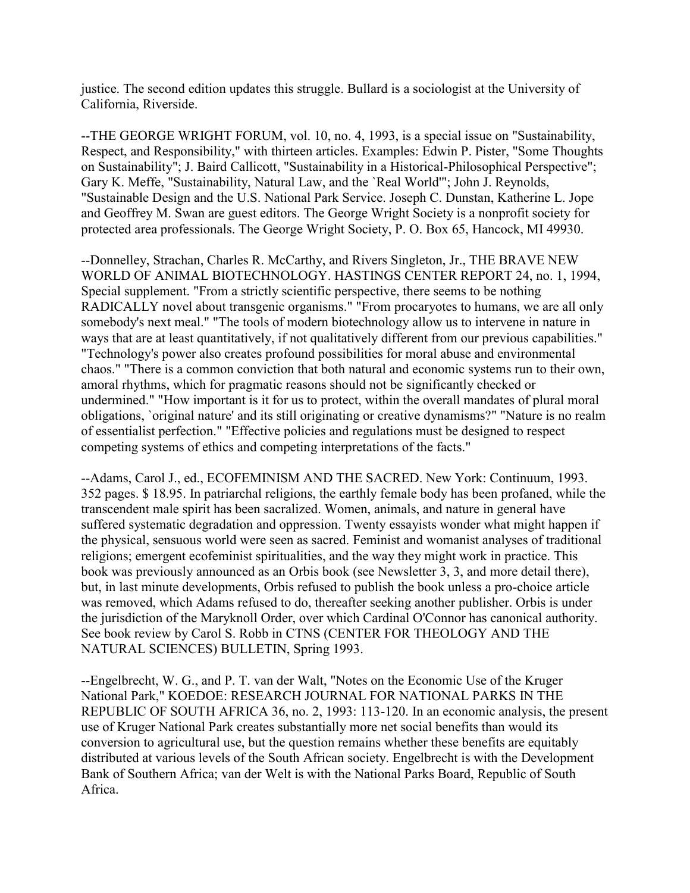justice. The second edition updates this struggle. Bullard is a sociologist at the University of California, Riverside.

--THE GEORGE WRIGHT FORUM, vol. 10, no. 4, 1993, is a special issue on "Sustainability, Respect, and Responsibility," with thirteen articles. Examples: Edwin P. Pister, "Some Thoughts on Sustainability"; J. Baird Callicott, "Sustainability in a Historical-Philosophical Perspective"; Gary K. Meffe, "Sustainability, Natural Law, and the `Real World'"; John J. Reynolds, "Sustainable Design and the U.S. National Park Service. Joseph C. Dunstan, Katherine L. Jope and Geoffrey M. Swan are guest editors. The George Wright Society is a nonprofit society for protected area professionals. The George Wright Society, P. O. Box 65, Hancock, MI 49930.

--Donnelley, Strachan, Charles R. McCarthy, and Rivers Singleton, Jr., THE BRAVE NEW WORLD OF ANIMAL BIOTECHNOLOGY. HASTINGS CENTER REPORT 24, no. 1, 1994, Special supplement. "From a strictly scientific perspective, there seems to be nothing RADICALLY novel about transgenic organisms." "From procaryotes to humans, we are all only somebody's next meal." "The tools of modern biotechnology allow us to intervene in nature in ways that are at least quantitatively, if not qualitatively different from our previous capabilities." "Technology's power also creates profound possibilities for moral abuse and environmental chaos." "There is a common conviction that both natural and economic systems run to their own, amoral rhythms, which for pragmatic reasons should not be significantly checked or undermined." "How important is it for us to protect, within the overall mandates of plural moral obligations, `original nature' and its still originating or creative dynamisms?" "Nature is no realm of essentialist perfection." "Effective policies and regulations must be designed to respect competing systems of ethics and competing interpretations of the facts."

--Adams, Carol J., ed., ECOFEMINISM AND THE SACRED. New York: Continuum, 1993. 352 pages. \$ 18.95. In patriarchal religions, the earthly female body has been profaned, while the transcendent male spirit has been sacralized. Women, animals, and nature in general have suffered systematic degradation and oppression. Twenty essayists wonder what might happen if the physical, sensuous world were seen as sacred. Feminist and womanist analyses of traditional religions; emergent ecofeminist spiritualities, and the way they might work in practice. This book was previously announced as an Orbis book (see Newsletter 3, 3, and more detail there), but, in last minute developments, Orbis refused to publish the book unless a pro-choice article was removed, which Adams refused to do, thereafter seeking another publisher. Orbis is under the jurisdiction of the Maryknoll Order, over which Cardinal O'Connor has canonical authority. See book review by Carol S. Robb in CTNS (CENTER FOR THEOLOGY AND THE NATURAL SCIENCES) BULLETIN, Spring 1993.

--Engelbrecht, W. G., and P. T. van der Walt, "Notes on the Economic Use of the Kruger National Park," KOEDOE: RESEARCH JOURNAL FOR NATIONAL PARKS IN THE REPUBLIC OF SOUTH AFRICA 36, no. 2, 1993: 113-120. In an economic analysis, the present use of Kruger National Park creates substantially more net social benefits than would its conversion to agricultural use, but the question remains whether these benefits are equitably distributed at various levels of the South African society. Engelbrecht is with the Development Bank of Southern Africa; van der Welt is with the National Parks Board, Republic of South Africa.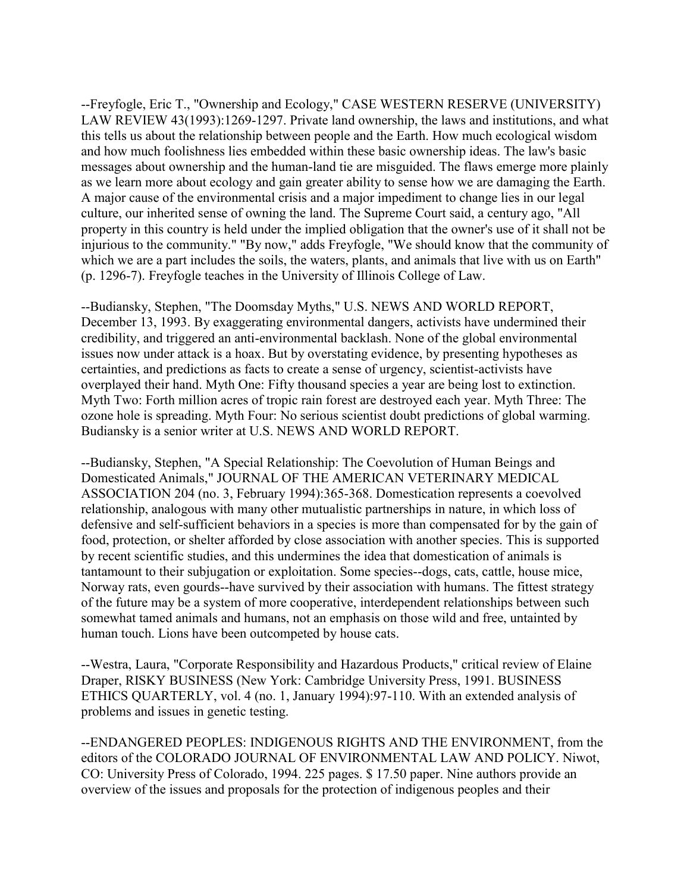--Freyfogle, Eric T., "Ownership and Ecology," CASE WESTERN RESERVE (UNIVERSITY) LAW REVIEW 43(1993):1269-1297. Private land ownership, the laws and institutions, and what this tells us about the relationship between people and the Earth. How much ecological wisdom and how much foolishness lies embedded within these basic ownership ideas. The law's basic messages about ownership and the human-land tie are misguided. The flaws emerge more plainly as we learn more about ecology and gain greater ability to sense how we are damaging the Earth. A major cause of the environmental crisis and a major impediment to change lies in our legal culture, our inherited sense of owning the land. The Supreme Court said, a century ago, "All property in this country is held under the implied obligation that the owner's use of it shall not be injurious to the community." "By now," adds Freyfogle, "We should know that the community of which we are a part includes the soils, the waters, plants, and animals that live with us on Earth" (p. 1296-7). Freyfogle teaches in the University of Illinois College of Law.

--Budiansky, Stephen, "The Doomsday Myths," U.S. NEWS AND WORLD REPORT, December 13, 1993. By exaggerating environmental dangers, activists have undermined their credibility, and triggered an anti-environmental backlash. None of the global environmental issues now under attack is a hoax. But by overstating evidence, by presenting hypotheses as certainties, and predictions as facts to create a sense of urgency, scientist-activists have overplayed their hand. Myth One: Fifty thousand species a year are being lost to extinction. Myth Two: Forth million acres of tropic rain forest are destroyed each year. Myth Three: The ozone hole is spreading. Myth Four: No serious scientist doubt predictions of global warming. Budiansky is a senior writer at U.S. NEWS AND WORLD REPORT.

--Budiansky, Stephen, "A Special Relationship: The Coevolution of Human Beings and Domesticated Animals," JOURNAL OF THE AMERICAN VETERINARY MEDICAL ASSOCIATION 204 (no. 3, February 1994):365-368. Domestication represents a coevolved relationship, analogous with many other mutualistic partnerships in nature, in which loss of defensive and self-sufficient behaviors in a species is more than compensated for by the gain of food, protection, or shelter afforded by close association with another species. This is supported by recent scientific studies, and this undermines the idea that domestication of animals is tantamount to their subjugation or exploitation. Some species--dogs, cats, cattle, house mice, Norway rats, even gourds--have survived by their association with humans. The fittest strategy of the future may be a system of more cooperative, interdependent relationships between such somewhat tamed animals and humans, not an emphasis on those wild and free, untainted by human touch. Lions have been outcompeted by house cats.

--Westra, Laura, "Corporate Responsibility and Hazardous Products," critical review of Elaine Draper, RISKY BUSINESS (New York: Cambridge University Press, 1991. BUSINESS ETHICS QUARTERLY, vol. 4 (no. 1, January 1994):97-110. With an extended analysis of problems and issues in genetic testing.

--ENDANGERED PEOPLES: INDIGENOUS RIGHTS AND THE ENVIRONMENT, from the editors of the COLORADO JOURNAL OF ENVIRONMENTAL LAW AND POLICY. Niwot, CO: University Press of Colorado, 1994. 225 pages. \$ 17.50 paper. Nine authors provide an overview of the issues and proposals for the protection of indigenous peoples and their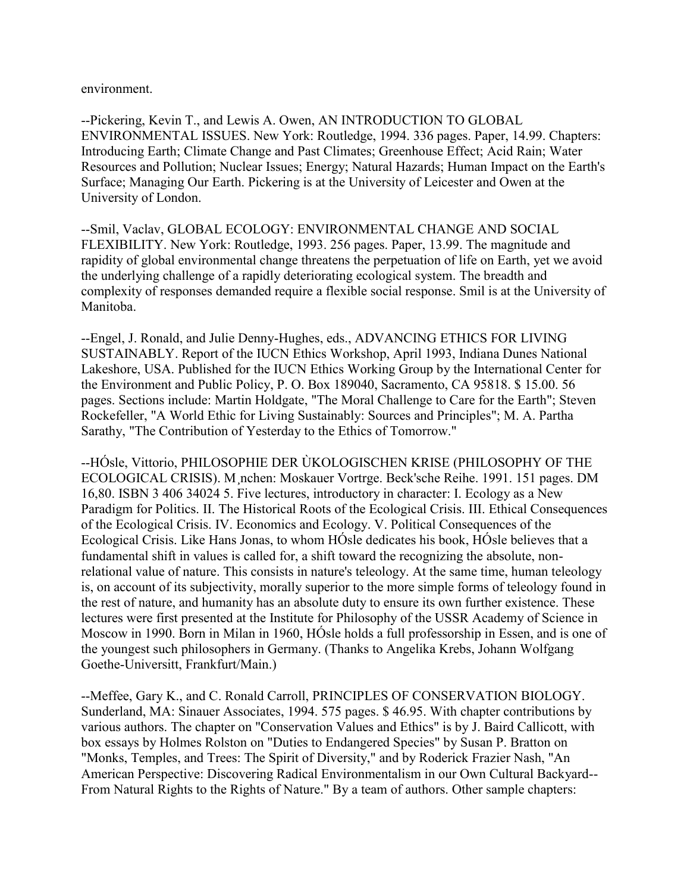environment.

--Pickering, Kevin T., and Lewis A. Owen, AN INTRODUCTION TO GLOBAL ENVIRONMENTAL ISSUES. New York: Routledge, 1994. 336 pages. Paper, 14.99. Chapters: Introducing Earth; Climate Change and Past Climates; Greenhouse Effect; Acid Rain; Water Resources and Pollution; Nuclear Issues; Energy; Natural Hazards; Human Impact on the Earth's Surface; Managing Our Earth. Pickering is at the University of Leicester and Owen at the University of London.

--Smil, Vaclav, GLOBAL ECOLOGY: ENVIRONMENTAL CHANGE AND SOCIAL FLEXIBILITY. New York: Routledge, 1993. 256 pages. Paper, 13.99. The magnitude and rapidity of global environmental change threatens the perpetuation of life on Earth, yet we avoid the underlying challenge of a rapidly deteriorating ecological system. The breadth and complexity of responses demanded require a flexible social response. Smil is at the University of Manitoba.

--Engel, J. Ronald, and Julie Denny-Hughes, eds., ADVANCING ETHICS FOR LIVING SUSTAINABLY. Report of the IUCN Ethics Workshop, April 1993, Indiana Dunes National Lakeshore, USA. Published for the IUCN Ethics Working Group by the International Center for the Environment and Public Policy, P. O. Box 189040, Sacramento, CA 95818. \$ 15.00. 56 pages. Sections include: Martin Holdgate, "The Moral Challenge to Care for the Earth"; Steven Rockefeller, "A World Ethic for Living Sustainably: Sources and Principles"; M. A. Partha Sarathy, "The Contribution of Yesterday to the Ethics of Tomorrow."

--HÓsle, Vittorio, PHILOSOPHIE DER ÙKOLOGISCHEN KRISE (PHILOSOPHY OF THE ECOLOGICAL CRISIS). M¸nchen: Moskauer Vortrge. Beck'sche Reihe. 1991. 151 pages. DM 16,80. ISBN 3 406 34024 5. Five lectures, introductory in character: I. Ecology as a New Paradigm for Politics. II. The Historical Roots of the Ecological Crisis. III. Ethical Consequences of the Ecological Crisis. IV. Economics and Ecology. V. Political Consequences of the Ecological Crisis. Like Hans Jonas, to whom HÓsle dedicates his book, HÓsle believes that a fundamental shift in values is called for, a shift toward the recognizing the absolute, nonrelational value of nature. This consists in nature's teleology. At the same time, human teleology is, on account of its subjectivity, morally superior to the more simple forms of teleology found in the rest of nature, and humanity has an absolute duty to ensure its own further existence. These lectures were first presented at the Institute for Philosophy of the USSR Academy of Science in Moscow in 1990. Born in Milan in 1960, HÓsle holds a full professorship in Essen, and is one of the youngest such philosophers in Germany. (Thanks to Angelika Krebs, Johann Wolfgang Goethe-Universitt, Frankfurt/Main.)

--Meffee, Gary K., and C. Ronald Carroll, PRINCIPLES OF CONSERVATION BIOLOGY. Sunderland, MA: Sinauer Associates, 1994. 575 pages. \$ 46.95. With chapter contributions by various authors. The chapter on "Conservation Values and Ethics" is by J. Baird Callicott, with box essays by Holmes Rolston on "Duties to Endangered Species" by Susan P. Bratton on "Monks, Temples, and Trees: The Spirit of Diversity," and by Roderick Frazier Nash, "An American Perspective: Discovering Radical Environmentalism in our Own Cultural Backyard-- From Natural Rights to the Rights of Nature." By a team of authors. Other sample chapters: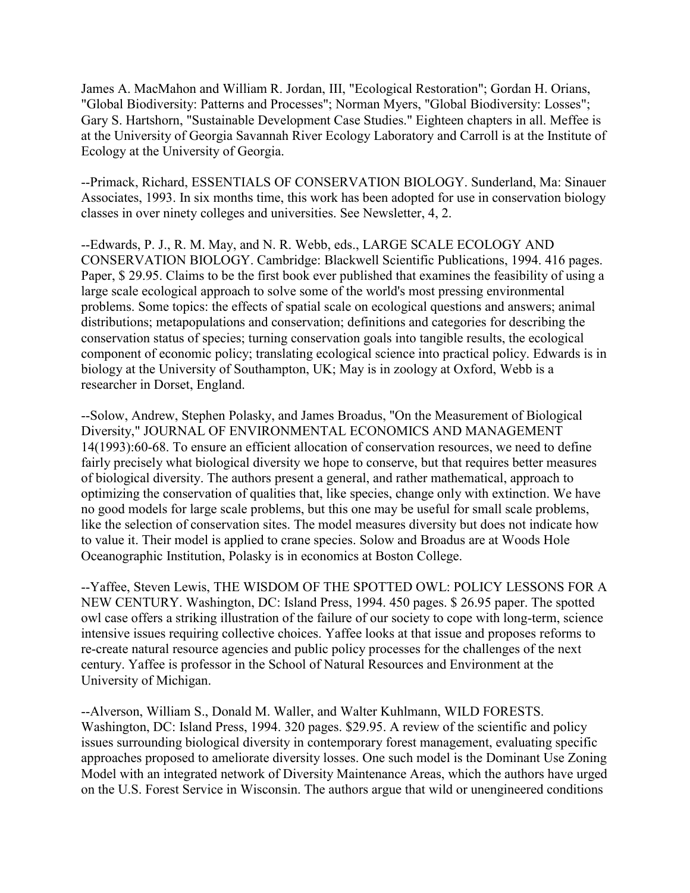James A. MacMahon and William R. Jordan, III, "Ecological Restoration"; Gordan H. Orians, "Global Biodiversity: Patterns and Processes"; Norman Myers, "Global Biodiversity: Losses"; Gary S. Hartshorn, "Sustainable Development Case Studies." Eighteen chapters in all. Meffee is at the University of Georgia Savannah River Ecology Laboratory and Carroll is at the Institute of Ecology at the University of Georgia.

--Primack, Richard, ESSENTIALS OF CONSERVATION BIOLOGY. Sunderland, Ma: Sinauer Associates, 1993. In six months time, this work has been adopted for use in conservation biology classes in over ninety colleges and universities. See Newsletter, 4, 2.

--Edwards, P. J., R. M. May, and N. R. Webb, eds., LARGE SCALE ECOLOGY AND CONSERVATION BIOLOGY. Cambridge: Blackwell Scientific Publications, 1994. 416 pages. Paper, \$ 29.95. Claims to be the first book ever published that examines the feasibility of using a large scale ecological approach to solve some of the world's most pressing environmental problems. Some topics: the effects of spatial scale on ecological questions and answers; animal distributions; metapopulations and conservation; definitions and categories for describing the conservation status of species; turning conservation goals into tangible results, the ecological component of economic policy; translating ecological science into practical policy. Edwards is in biology at the University of Southampton, UK; May is in zoology at Oxford, Webb is a researcher in Dorset, England.

--Solow, Andrew, Stephen Polasky, and James Broadus, "On the Measurement of Biological Diversity," JOURNAL OF ENVIRONMENTAL ECONOMICS AND MANAGEMENT 14(1993):60-68. To ensure an efficient allocation of conservation resources, we need to define fairly precisely what biological diversity we hope to conserve, but that requires better measures of biological diversity. The authors present a general, and rather mathematical, approach to optimizing the conservation of qualities that, like species, change only with extinction. We have no good models for large scale problems, but this one may be useful for small scale problems, like the selection of conservation sites. The model measures diversity but does not indicate how to value it. Their model is applied to crane species. Solow and Broadus are at Woods Hole Oceanographic Institution, Polasky is in economics at Boston College.

--Yaffee, Steven Lewis, THE WISDOM OF THE SPOTTED OWL: POLICY LESSONS FOR A NEW CENTURY. Washington, DC: Island Press, 1994. 450 pages. \$ 26.95 paper. The spotted owl case offers a striking illustration of the failure of our society to cope with long-term, science intensive issues requiring collective choices. Yaffee looks at that issue and proposes reforms to re-create natural resource agencies and public policy processes for the challenges of the next century. Yaffee is professor in the School of Natural Resources and Environment at the University of Michigan.

--Alverson, William S., Donald M. Waller, and Walter Kuhlmann, WILD FORESTS. Washington, DC: Island Press, 1994. 320 pages. \$29.95. A review of the scientific and policy issues surrounding biological diversity in contemporary forest management, evaluating specific approaches proposed to ameliorate diversity losses. One such model is the Dominant Use Zoning Model with an integrated network of Diversity Maintenance Areas, which the authors have urged on the U.S. Forest Service in Wisconsin. The authors argue that wild or unengineered conditions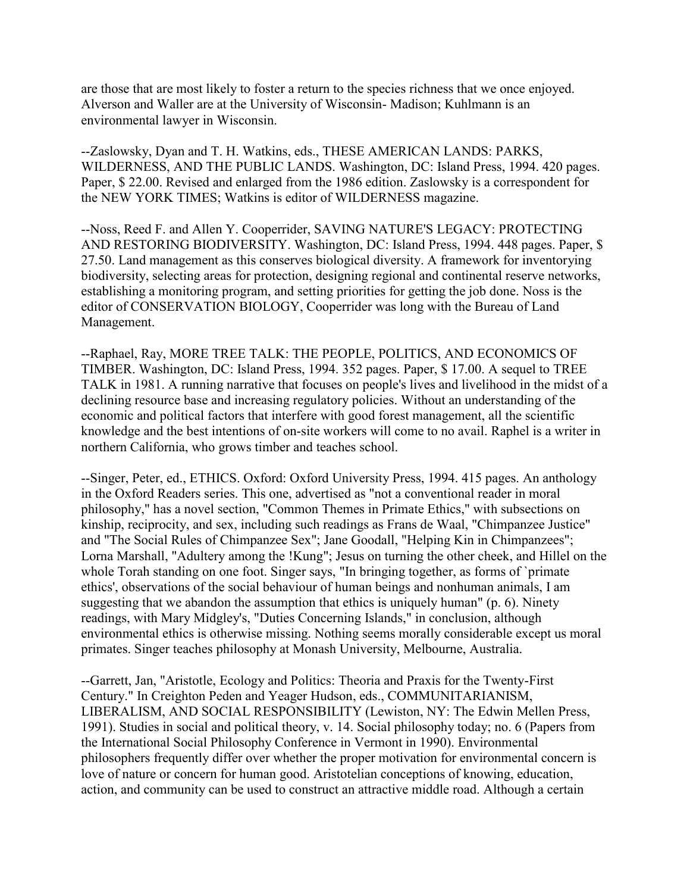are those that are most likely to foster a return to the species richness that we once enjoyed. Alverson and Waller are at the University of Wisconsin- Madison; Kuhlmann is an environmental lawyer in Wisconsin.

--Zaslowsky, Dyan and T. H. Watkins, eds., THESE AMERICAN LANDS: PARKS, WILDERNESS, AND THE PUBLIC LANDS. Washington, DC: Island Press, 1994. 420 pages. Paper, \$ 22.00. Revised and enlarged from the 1986 edition. Zaslowsky is a correspondent for the NEW YORK TIMES; Watkins is editor of WILDERNESS magazine.

--Noss, Reed F. and Allen Y. Cooperrider, SAVING NATURE'S LEGACY: PROTECTING AND RESTORING BIODIVERSITY. Washington, DC: Island Press, 1994. 448 pages. Paper, \$ 27.50. Land management as this conserves biological diversity. A framework for inventorying biodiversity, selecting areas for protection, designing regional and continental reserve networks, establishing a monitoring program, and setting priorities for getting the job done. Noss is the editor of CONSERVATION BIOLOGY, Cooperrider was long with the Bureau of Land Management.

--Raphael, Ray, MORE TREE TALK: THE PEOPLE, POLITICS, AND ECONOMICS OF TIMBER. Washington, DC: Island Press, 1994. 352 pages. Paper, \$ 17.00. A sequel to TREE TALK in 1981. A running narrative that focuses on people's lives and livelihood in the midst of a declining resource base and increasing regulatory policies. Without an understanding of the economic and political factors that interfere with good forest management, all the scientific knowledge and the best intentions of on-site workers will come to no avail. Raphel is a writer in northern California, who grows timber and teaches school.

--Singer, Peter, ed., ETHICS. Oxford: Oxford University Press, 1994. 415 pages. An anthology in the Oxford Readers series. This one, advertised as "not a conventional reader in moral philosophy," has a novel section, "Common Themes in Primate Ethics," with subsections on kinship, reciprocity, and sex, including such readings as Frans de Waal, "Chimpanzee Justice" and "The Social Rules of Chimpanzee Sex"; Jane Goodall, "Helping Kin in Chimpanzees"; Lorna Marshall, "Adultery among the !Kung"; Jesus on turning the other cheek, and Hillel on the whole Torah standing on one foot. Singer says, "In bringing together, as forms of `primate ethics', observations of the social behaviour of human beings and nonhuman animals, I am suggesting that we abandon the assumption that ethics is uniquely human" (p. 6). Ninety readings, with Mary Midgley's, "Duties Concerning Islands," in conclusion, although environmental ethics is otherwise missing. Nothing seems morally considerable except us moral primates. Singer teaches philosophy at Monash University, Melbourne, Australia.

--Garrett, Jan, "Aristotle, Ecology and Politics: Theoria and Praxis for the Twenty-First Century." In Creighton Peden and Yeager Hudson, eds., COMMUNITARIANISM, LIBERALISM, AND SOCIAL RESPONSIBILITY (Lewiston, NY: The Edwin Mellen Press, 1991). Studies in social and political theory, v. 14. Social philosophy today; no. 6 (Papers from the International Social Philosophy Conference in Vermont in 1990). Environmental philosophers frequently differ over whether the proper motivation for environmental concern is love of nature or concern for human good. Aristotelian conceptions of knowing, education, action, and community can be used to construct an attractive middle road. Although a certain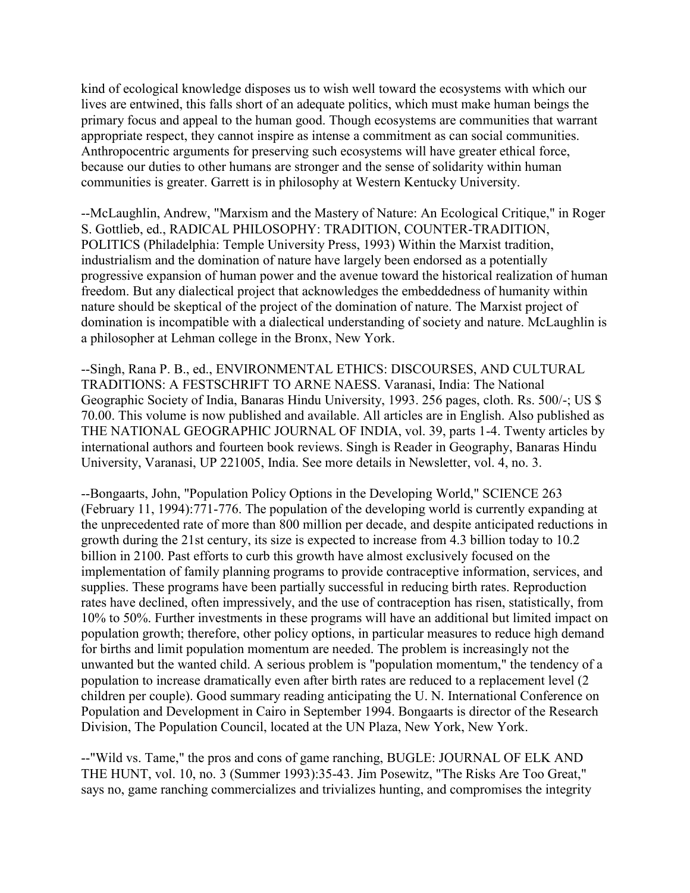kind of ecological knowledge disposes us to wish well toward the ecosystems with which our lives are entwined, this falls short of an adequate politics, which must make human beings the primary focus and appeal to the human good. Though ecosystems are communities that warrant appropriate respect, they cannot inspire as intense a commitment as can social communities. Anthropocentric arguments for preserving such ecosystems will have greater ethical force, because our duties to other humans are stronger and the sense of solidarity within human communities is greater. Garrett is in philosophy at Western Kentucky University.

--McLaughlin, Andrew, "Marxism and the Mastery of Nature: An Ecological Critique," in Roger S. Gottlieb, ed., RADICAL PHILOSOPHY: TRADITION, COUNTER-TRADITION, POLITICS (Philadelphia: Temple University Press, 1993) Within the Marxist tradition, industrialism and the domination of nature have largely been endorsed as a potentially progressive expansion of human power and the avenue toward the historical realization of human freedom. But any dialectical project that acknowledges the embeddedness of humanity within nature should be skeptical of the project of the domination of nature. The Marxist project of domination is incompatible with a dialectical understanding of society and nature. McLaughlin is a philosopher at Lehman college in the Bronx, New York.

--Singh, Rana P. B., ed., ENVIRONMENTAL ETHICS: DISCOURSES, AND CULTURAL TRADITIONS: A FESTSCHRIFT TO ARNE NAESS. Varanasi, India: The National Geographic Society of India, Banaras Hindu University, 1993. 256 pages, cloth. Rs. 500/-; US \$ 70.00. This volume is now published and available. All articles are in English. Also published as THE NATIONAL GEOGRAPHIC JOURNAL OF INDIA, vol. 39, parts 1-4. Twenty articles by international authors and fourteen book reviews. Singh is Reader in Geography, Banaras Hindu University, Varanasi, UP 221005, India. See more details in Newsletter, vol. 4, no. 3.

--Bongaarts, John, "Population Policy Options in the Developing World," SCIENCE 263 (February 11, 1994):771-776. The population of the developing world is currently expanding at the unprecedented rate of more than 800 million per decade, and despite anticipated reductions in growth during the 21st century, its size is expected to increase from 4.3 billion today to 10.2 billion in 2100. Past efforts to curb this growth have almost exclusively focused on the implementation of family planning programs to provide contraceptive information, services, and supplies. These programs have been partially successful in reducing birth rates. Reproduction rates have declined, often impressively, and the use of contraception has risen, statistically, from 10% to 50%. Further investments in these programs will have an additional but limited impact on population growth; therefore, other policy options, in particular measures to reduce high demand for births and limit population momentum are needed. The problem is increasingly not the unwanted but the wanted child. A serious problem is "population momentum," the tendency of a population to increase dramatically even after birth rates are reduced to a replacement level (2 children per couple). Good summary reading anticipating the U. N. International Conference on Population and Development in Cairo in September 1994. Bongaarts is director of the Research Division, The Population Council, located at the UN Plaza, New York, New York.

--"Wild vs. Tame," the pros and cons of game ranching, BUGLE: JOURNAL OF ELK AND THE HUNT, vol. 10, no. 3 (Summer 1993):35-43. Jim Posewitz, "The Risks Are Too Great," says no, game ranching commercializes and trivializes hunting, and compromises the integrity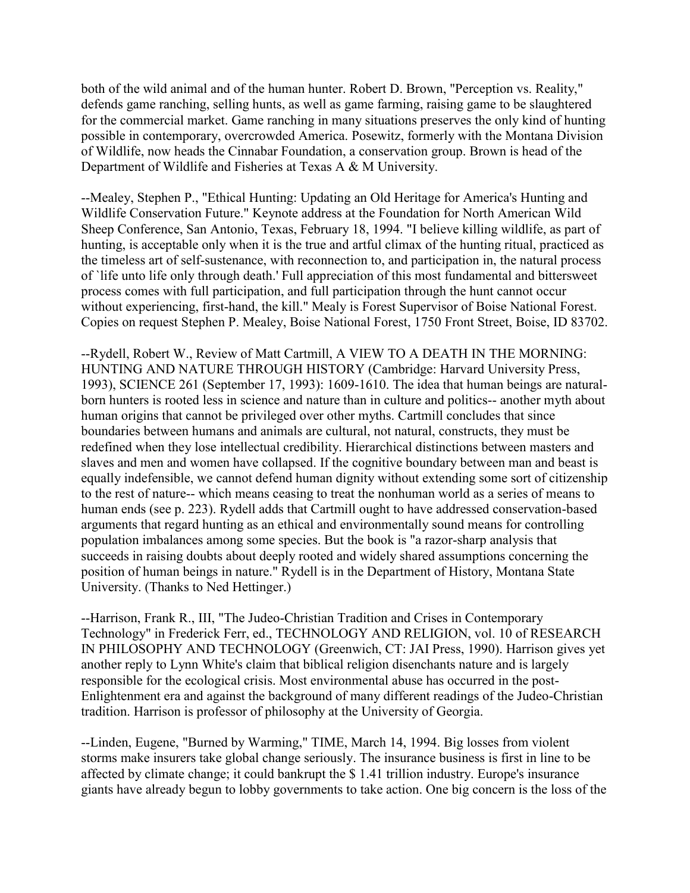both of the wild animal and of the human hunter. Robert D. Brown, "Perception vs. Reality," defends game ranching, selling hunts, as well as game farming, raising game to be slaughtered for the commercial market. Game ranching in many situations preserves the only kind of hunting possible in contemporary, overcrowded America. Posewitz, formerly with the Montana Division of Wildlife, now heads the Cinnabar Foundation, a conservation group. Brown is head of the Department of Wildlife and Fisheries at Texas A & M University.

--Mealey, Stephen P., "Ethical Hunting: Updating an Old Heritage for America's Hunting and Wildlife Conservation Future." Keynote address at the Foundation for North American Wild Sheep Conference, San Antonio, Texas, February 18, 1994. "I believe killing wildlife, as part of hunting, is acceptable only when it is the true and artful climax of the hunting ritual, practiced as the timeless art of self-sustenance, with reconnection to, and participation in, the natural process of `life unto life only through death.' Full appreciation of this most fundamental and bittersweet process comes with full participation, and full participation through the hunt cannot occur without experiencing, first-hand, the kill." Mealy is Forest Supervisor of Boise National Forest. Copies on request Stephen P. Mealey, Boise National Forest, 1750 Front Street, Boise, ID 83702.

--Rydell, Robert W., Review of Matt Cartmill, A VIEW TO A DEATH IN THE MORNING: HUNTING AND NATURE THROUGH HISTORY (Cambridge: Harvard University Press, 1993), SCIENCE 261 (September 17, 1993): 1609-1610. The idea that human beings are naturalborn hunters is rooted less in science and nature than in culture and politics-- another myth about human origins that cannot be privileged over other myths. Cartmill concludes that since boundaries between humans and animals are cultural, not natural, constructs, they must be redefined when they lose intellectual credibility. Hierarchical distinctions between masters and slaves and men and women have collapsed. If the cognitive boundary between man and beast is equally indefensible, we cannot defend human dignity without extending some sort of citizenship to the rest of nature-- which means ceasing to treat the nonhuman world as a series of means to human ends (see p. 223). Rydell adds that Cartmill ought to have addressed conservation-based arguments that regard hunting as an ethical and environmentally sound means for controlling population imbalances among some species. But the book is "a razor-sharp analysis that succeeds in raising doubts about deeply rooted and widely shared assumptions concerning the position of human beings in nature." Rydell is in the Department of History, Montana State University. (Thanks to Ned Hettinger.)

--Harrison, Frank R., III, "The Judeo-Christian Tradition and Crises in Contemporary Technology" in Frederick Ferr, ed., TECHNOLOGY AND RELIGION, vol. 10 of RESEARCH IN PHILOSOPHY AND TECHNOLOGY (Greenwich, CT: JAI Press, 1990). Harrison gives yet another reply to Lynn White's claim that biblical religion disenchants nature and is largely responsible for the ecological crisis. Most environmental abuse has occurred in the post-Enlightenment era and against the background of many different readings of the Judeo-Christian tradition. Harrison is professor of philosophy at the University of Georgia.

--Linden, Eugene, "Burned by Warming," TIME, March 14, 1994. Big losses from violent storms make insurers take global change seriously. The insurance business is first in line to be affected by climate change; it could bankrupt the \$ 1.41 trillion industry. Europe's insurance giants have already begun to lobby governments to take action. One big concern is the loss of the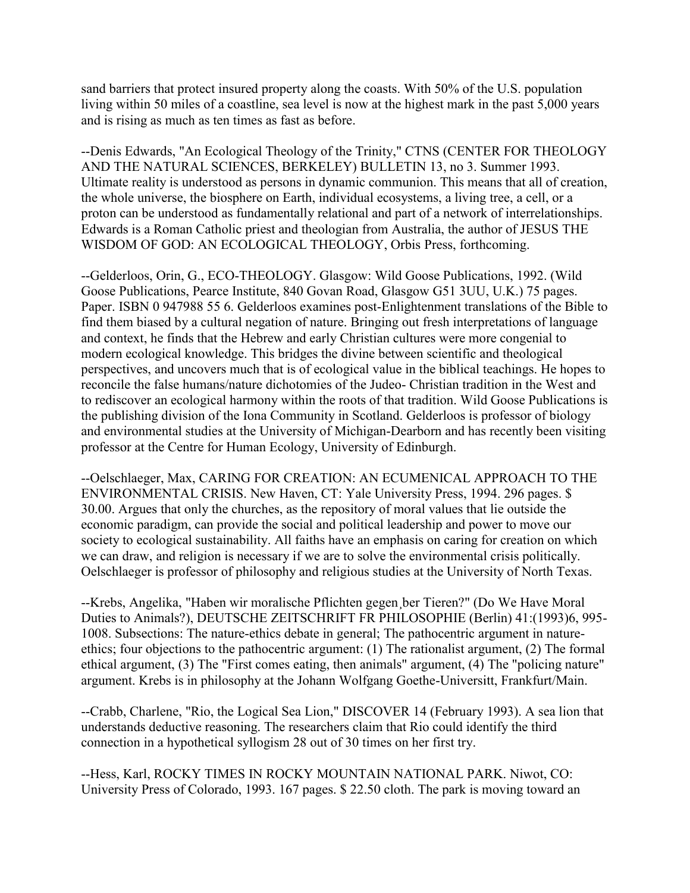sand barriers that protect insured property along the coasts. With 50% of the U.S. population living within 50 miles of a coastline, sea level is now at the highest mark in the past 5,000 years and is rising as much as ten times as fast as before.

--Denis Edwards, "An Ecological Theology of the Trinity," CTNS (CENTER FOR THEOLOGY AND THE NATURAL SCIENCES, BERKELEY) BULLETIN 13, no 3. Summer 1993. Ultimate reality is understood as persons in dynamic communion. This means that all of creation, the whole universe, the biosphere on Earth, individual ecosystems, a living tree, a cell, or a proton can be understood as fundamentally relational and part of a network of interrelationships. Edwards is a Roman Catholic priest and theologian from Australia, the author of JESUS THE WISDOM OF GOD: AN ECOLOGICAL THEOLOGY, Orbis Press, forthcoming.

--Gelderloos, Orin, G., ECO-THEOLOGY. Glasgow: Wild Goose Publications, 1992. (Wild Goose Publications, Pearce Institute, 840 Govan Road, Glasgow G51 3UU, U.K.) 75 pages. Paper. ISBN 0 947988 55 6. Gelderloos examines post-Enlightenment translations of the Bible to find them biased by a cultural negation of nature. Bringing out fresh interpretations of language and context, he finds that the Hebrew and early Christian cultures were more congenial to modern ecological knowledge. This bridges the divine between scientific and theological perspectives, and uncovers much that is of ecological value in the biblical teachings. He hopes to reconcile the false humans/nature dichotomies of the Judeo- Christian tradition in the West and to rediscover an ecological harmony within the roots of that tradition. Wild Goose Publications is the publishing division of the Iona Community in Scotland. Gelderloos is professor of biology and environmental studies at the University of Michigan-Dearborn and has recently been visiting professor at the Centre for Human Ecology, University of Edinburgh.

--Oelschlaeger, Max, CARING FOR CREATION: AN ECUMENICAL APPROACH TO THE ENVIRONMENTAL CRISIS. New Haven, CT: Yale University Press, 1994. 296 pages. \$ 30.00. Argues that only the churches, as the repository of moral values that lie outside the economic paradigm, can provide the social and political leadership and power to move our society to ecological sustainability. All faiths have an emphasis on caring for creation on which we can draw, and religion is necessary if we are to solve the environmental crisis politically. Oelschlaeger is professor of philosophy and religious studies at the University of North Texas.

--Krebs, Angelika, "Haben wir moralische Pflichten gegen¸ber Tieren?" (Do We Have Moral Duties to Animals?), DEUTSCHE ZEITSCHRIFT FR PHILOSOPHIE (Berlin) 41:(1993)6, 995- 1008. Subsections: The nature-ethics debate in general; The pathocentric argument in natureethics; four objections to the pathocentric argument: (1) The rationalist argument, (2) The formal ethical argument, (3) The "First comes eating, then animals" argument, (4) The "policing nature" argument. Krebs is in philosophy at the Johann Wolfgang Goethe-Universitt, Frankfurt/Main.

--Crabb, Charlene, "Rio, the Logical Sea Lion," DISCOVER 14 (February 1993). A sea lion that understands deductive reasoning. The researchers claim that Rio could identify the third connection in a hypothetical syllogism 28 out of 30 times on her first try.

--Hess, Karl, ROCKY TIMES IN ROCKY MOUNTAIN NATIONAL PARK. Niwot, CO: University Press of Colorado, 1993. 167 pages. \$ 22.50 cloth. The park is moving toward an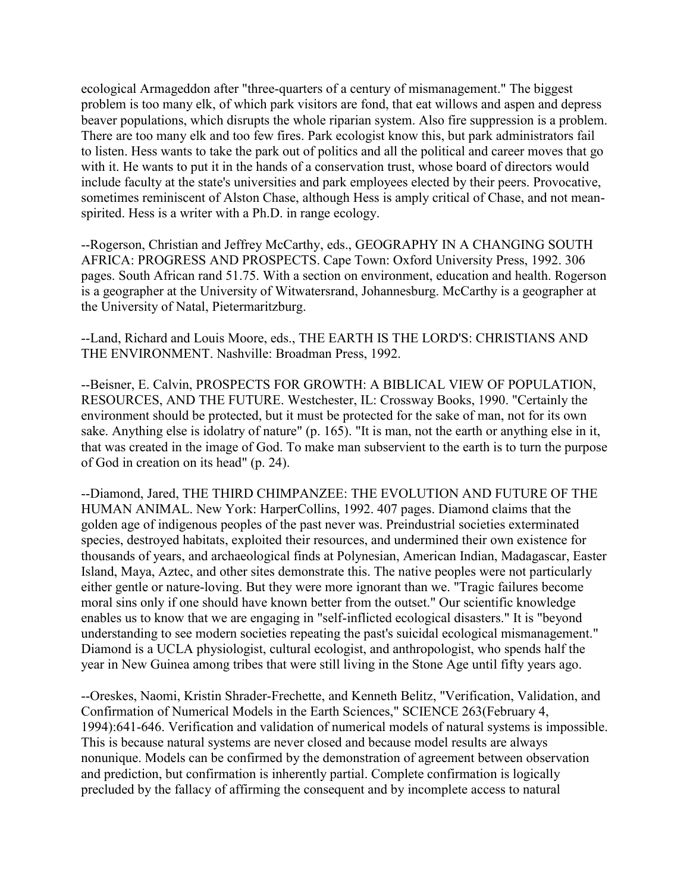ecological Armageddon after "three-quarters of a century of mismanagement." The biggest problem is too many elk, of which park visitors are fond, that eat willows and aspen and depress beaver populations, which disrupts the whole riparian system. Also fire suppression is a problem. There are too many elk and too few fires. Park ecologist know this, but park administrators fail to listen. Hess wants to take the park out of politics and all the political and career moves that go with it. He wants to put it in the hands of a conservation trust, whose board of directors would include faculty at the state's universities and park employees elected by their peers. Provocative, sometimes reminiscent of Alston Chase, although Hess is amply critical of Chase, and not meanspirited. Hess is a writer with a Ph.D. in range ecology.

--Rogerson, Christian and Jeffrey McCarthy, eds., GEOGRAPHY IN A CHANGING SOUTH AFRICA: PROGRESS AND PROSPECTS. Cape Town: Oxford University Press, 1992. 306 pages. South African rand 51.75. With a section on environment, education and health. Rogerson is a geographer at the University of Witwatersrand, Johannesburg. McCarthy is a geographer at the University of Natal, Pietermaritzburg.

--Land, Richard and Louis Moore, eds., THE EARTH IS THE LORD'S: CHRISTIANS AND THE ENVIRONMENT. Nashville: Broadman Press, 1992.

--Beisner, E. Calvin, PROSPECTS FOR GROWTH: A BIBLICAL VIEW OF POPULATION, RESOURCES, AND THE FUTURE. Westchester, IL: Crossway Books, 1990. "Certainly the environment should be protected, but it must be protected for the sake of man, not for its own sake. Anything else is idolatry of nature" (p. 165). "It is man, not the earth or anything else in it, that was created in the image of God. To make man subservient to the earth is to turn the purpose of God in creation on its head" (p. 24).

--Diamond, Jared, THE THIRD CHIMPANZEE: THE EVOLUTION AND FUTURE OF THE HUMAN ANIMAL. New York: HarperCollins, 1992. 407 pages. Diamond claims that the golden age of indigenous peoples of the past never was. Preindustrial societies exterminated species, destroyed habitats, exploited their resources, and undermined their own existence for thousands of years, and archaeological finds at Polynesian, American Indian, Madagascar, Easter Island, Maya, Aztec, and other sites demonstrate this. The native peoples were not particularly either gentle or nature-loving. But they were more ignorant than we. "Tragic failures become moral sins only if one should have known better from the outset." Our scientific knowledge enables us to know that we are engaging in "self-inflicted ecological disasters." It is "beyond understanding to see modern societies repeating the past's suicidal ecological mismanagement." Diamond is a UCLA physiologist, cultural ecologist, and anthropologist, who spends half the year in New Guinea among tribes that were still living in the Stone Age until fifty years ago.

--Oreskes, Naomi, Kristin Shrader-Frechette, and Kenneth Belitz, "Verification, Validation, and Confirmation of Numerical Models in the Earth Sciences," SCIENCE 263(February 4, 1994):641-646. Verification and validation of numerical models of natural systems is impossible. This is because natural systems are never closed and because model results are always nonunique. Models can be confirmed by the demonstration of agreement between observation and prediction, but confirmation is inherently partial. Complete confirmation is logically precluded by the fallacy of affirming the consequent and by incomplete access to natural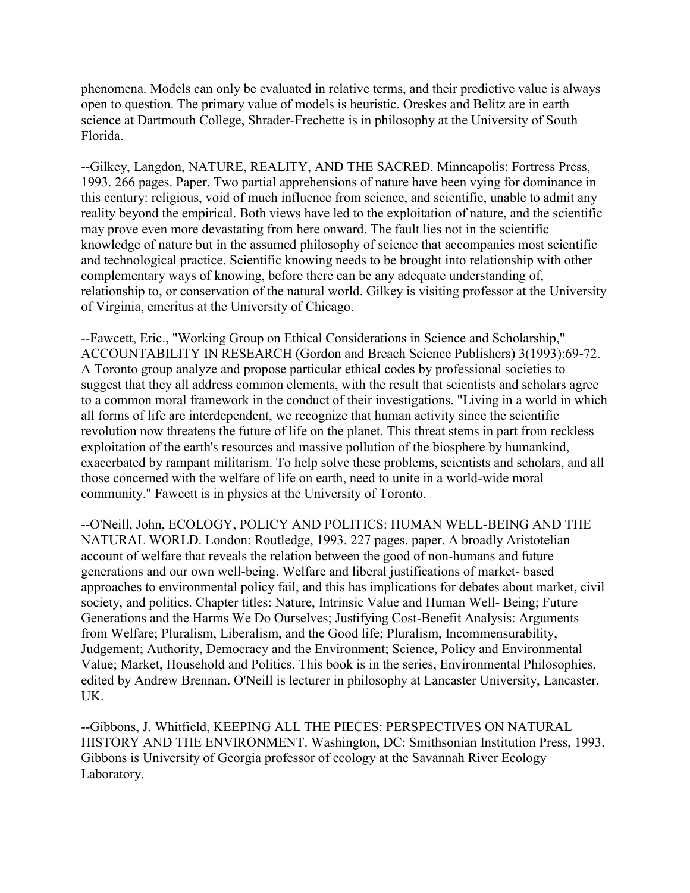phenomena. Models can only be evaluated in relative terms, and their predictive value is always open to question. The primary value of models is heuristic. Oreskes and Belitz are in earth science at Dartmouth College, Shrader-Frechette is in philosophy at the University of South Florida.

--Gilkey, Langdon, NATURE, REALITY, AND THE SACRED. Minneapolis: Fortress Press, 1993. 266 pages. Paper. Two partial apprehensions of nature have been vying for dominance in this century: religious, void of much influence from science, and scientific, unable to admit any reality beyond the empirical. Both views have led to the exploitation of nature, and the scientific may prove even more devastating from here onward. The fault lies not in the scientific knowledge of nature but in the assumed philosophy of science that accompanies most scientific and technological practice. Scientific knowing needs to be brought into relationship with other complementary ways of knowing, before there can be any adequate understanding of, relationship to, or conservation of the natural world. Gilkey is visiting professor at the University of Virginia, emeritus at the University of Chicago.

--Fawcett, Eric., "Working Group on Ethical Considerations in Science and Scholarship," ACCOUNTABILITY IN RESEARCH (Gordon and Breach Science Publishers) 3(1993):69-72. A Toronto group analyze and propose particular ethical codes by professional societies to suggest that they all address common elements, with the result that scientists and scholars agree to a common moral framework in the conduct of their investigations. "Living in a world in which all forms of life are interdependent, we recognize that human activity since the scientific revolution now threatens the future of life on the planet. This threat stems in part from reckless exploitation of the earth's resources and massive pollution of the biosphere by humankind, exacerbated by rampant militarism. To help solve these problems, scientists and scholars, and all those concerned with the welfare of life on earth, need to unite in a world-wide moral community." Fawcett is in physics at the University of Toronto.

--O'Neill, John, ECOLOGY, POLICY AND POLITICS: HUMAN WELL-BEING AND THE NATURAL WORLD. London: Routledge, 1993. 227 pages. paper. A broadly Aristotelian account of welfare that reveals the relation between the good of non-humans and future generations and our own well-being. Welfare and liberal justifications of market- based approaches to environmental policy fail, and this has implications for debates about market, civil society, and politics. Chapter titles: Nature, Intrinsic Value and Human Well- Being; Future Generations and the Harms We Do Ourselves; Justifying Cost-Benefit Analysis: Arguments from Welfare; Pluralism, Liberalism, and the Good life; Pluralism, Incommensurability, Judgement; Authority, Democracy and the Environment; Science, Policy and Environmental Value; Market, Household and Politics. This book is in the series, Environmental Philosophies, edited by Andrew Brennan. O'Neill is lecturer in philosophy at Lancaster University, Lancaster, UK.

--Gibbons, J. Whitfield, KEEPING ALL THE PIECES: PERSPECTIVES ON NATURAL HISTORY AND THE ENVIRONMENT. Washington, DC: Smithsonian Institution Press, 1993. Gibbons is University of Georgia professor of ecology at the Savannah River Ecology Laboratory.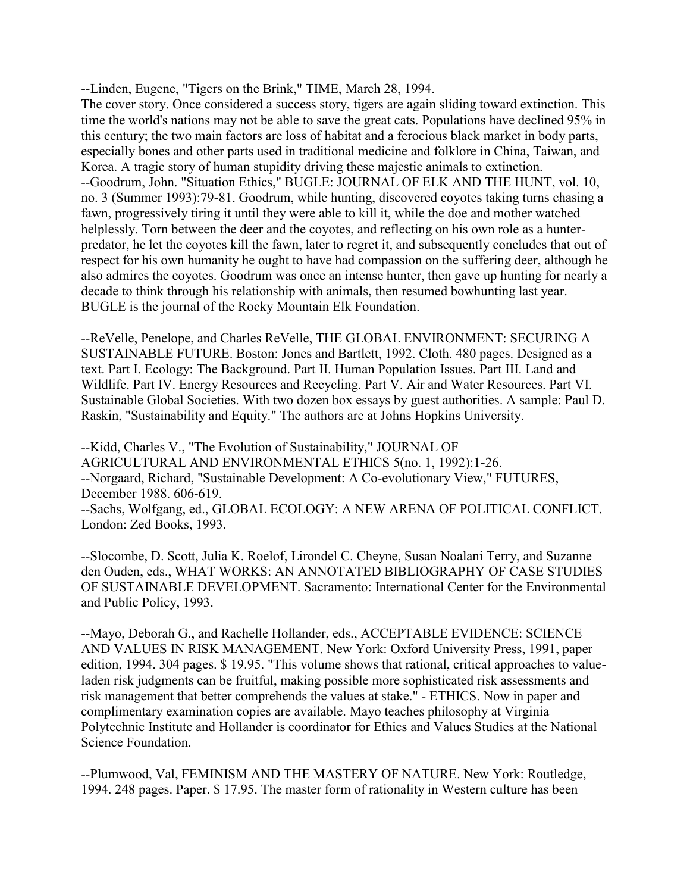--Linden, Eugene, "Tigers on the Brink," TIME, March 28, 1994.

The cover story. Once considered a success story, tigers are again sliding toward extinction. This time the world's nations may not be able to save the great cats. Populations have declined 95% in this century; the two main factors are loss of habitat and a ferocious black market in body parts, especially bones and other parts used in traditional medicine and folklore in China, Taiwan, and Korea. A tragic story of human stupidity driving these majestic animals to extinction. --Goodrum, John. "Situation Ethics," BUGLE: JOURNAL OF ELK AND THE HUNT, vol. 10, no. 3 (Summer 1993):79-81. Goodrum, while hunting, discovered coyotes taking turns chasing a fawn, progressively tiring it until they were able to kill it, while the doe and mother watched helplessly. Torn between the deer and the coyotes, and reflecting on his own role as a hunterpredator, he let the coyotes kill the fawn, later to regret it, and subsequently concludes that out of respect for his own humanity he ought to have had compassion on the suffering deer, although he also admires the coyotes. Goodrum was once an intense hunter, then gave up hunting for nearly a decade to think through his relationship with animals, then resumed bowhunting last year. BUGLE is the journal of the Rocky Mountain Elk Foundation.

--ReVelle, Penelope, and Charles ReVelle, THE GLOBAL ENVIRONMENT: SECURING A SUSTAINABLE FUTURE. Boston: Jones and Bartlett, 1992. Cloth. 480 pages. Designed as a text. Part I. Ecology: The Background. Part II. Human Population Issues. Part III. Land and Wildlife. Part IV. Energy Resources and Recycling. Part V. Air and Water Resources. Part VI. Sustainable Global Societies. With two dozen box essays by guest authorities. A sample: Paul D. Raskin, "Sustainability and Equity." The authors are at Johns Hopkins University.

--Kidd, Charles V., "The Evolution of Sustainability," JOURNAL OF AGRICULTURAL AND ENVIRONMENTAL ETHICS 5(no. 1, 1992):1-26. --Norgaard, Richard, "Sustainable Development: A Co-evolutionary View," FUTURES, December 1988. 606-619. --Sachs, Wolfgang, ed., GLOBAL ECOLOGY: A NEW ARENA OF POLITICAL CONFLICT. London: Zed Books, 1993.

--Slocombe, D. Scott, Julia K. Roelof, Lirondel C. Cheyne, Susan Noalani Terry, and Suzanne den Ouden, eds., WHAT WORKS: AN ANNOTATED BIBLIOGRAPHY OF CASE STUDIES OF SUSTAINABLE DEVELOPMENT. Sacramento: International Center for the Environmental and Public Policy, 1993.

--Mayo, Deborah G., and Rachelle Hollander, eds., ACCEPTABLE EVIDENCE: SCIENCE AND VALUES IN RISK MANAGEMENT. New York: Oxford University Press, 1991, paper edition, 1994. 304 pages. \$ 19.95. "This volume shows that rational, critical approaches to valueladen risk judgments can be fruitful, making possible more sophisticated risk assessments and risk management that better comprehends the values at stake." - ETHICS. Now in paper and complimentary examination copies are available. Mayo teaches philosophy at Virginia Polytechnic Institute and Hollander is coordinator for Ethics and Values Studies at the National Science Foundation.

--Plumwood, Val, FEMINISM AND THE MASTERY OF NATURE. New York: Routledge, 1994. 248 pages. Paper. \$ 17.95. The master form of rationality in Western culture has been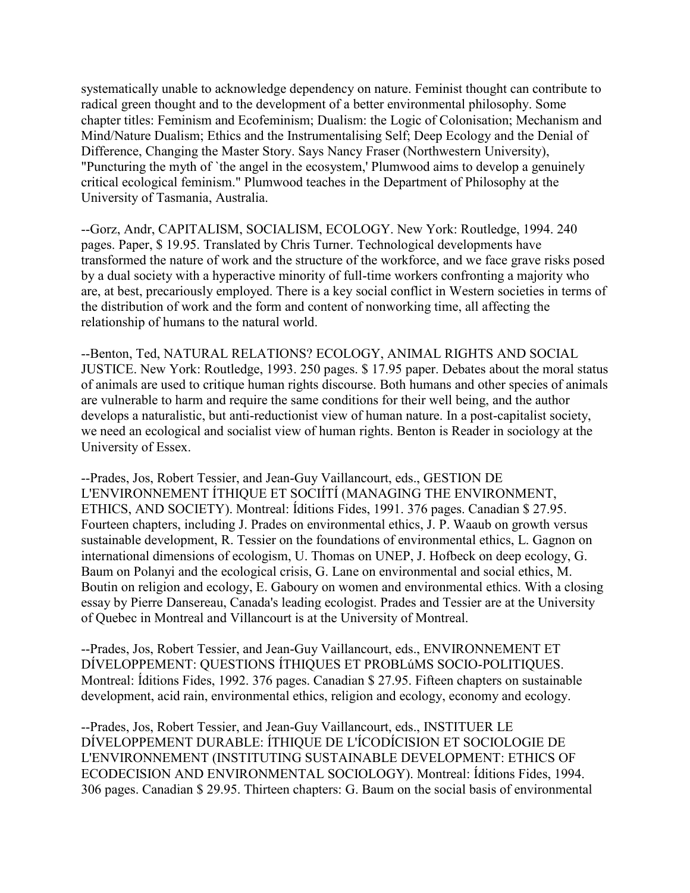systematically unable to acknowledge dependency on nature. Feminist thought can contribute to radical green thought and to the development of a better environmental philosophy. Some chapter titles: Feminism and Ecofeminism; Dualism: the Logic of Colonisation; Mechanism and Mind/Nature Dualism; Ethics and the Instrumentalising Self; Deep Ecology and the Denial of Difference, Changing the Master Story. Says Nancy Fraser (Northwestern University), "Puncturing the myth of `the angel in the ecosystem,' Plumwood aims to develop a genuinely critical ecological feminism." Plumwood teaches in the Department of Philosophy at the University of Tasmania, Australia.

--Gorz, Andr, CAPITALISM, SOCIALISM, ECOLOGY. New York: Routledge, 1994. 240 pages. Paper, \$ 19.95. Translated by Chris Turner. Technological developments have transformed the nature of work and the structure of the workforce, and we face grave risks posed by a dual society with a hyperactive minority of full-time workers confronting a majority who are, at best, precariously employed. There is a key social conflict in Western societies in terms of the distribution of work and the form and content of nonworking time, all affecting the relationship of humans to the natural world.

--Benton, Ted, NATURAL RELATIONS? ECOLOGY, ANIMAL RIGHTS AND SOCIAL JUSTICE. New York: Routledge, 1993. 250 pages. \$ 17.95 paper. Debates about the moral status of animals are used to critique human rights discourse. Both humans and other species of animals are vulnerable to harm and require the same conditions for their well being, and the author develops a naturalistic, but anti-reductionist view of human nature. In a post-capitalist society, we need an ecological and socialist view of human rights. Benton is Reader in sociology at the University of Essex.

--Prades, Jos, Robert Tessier, and Jean-Guy Vaillancourt, eds., GESTION DE L'ENVIRONNEMENT ÍTHIQUE ET SOCIÍTÍ (MANAGING THE ENVIRONMENT, ETHICS, AND SOCIETY). Montreal: Íditions Fides, 1991. 376 pages. Canadian \$ 27.95. Fourteen chapters, including J. Prades on environmental ethics, J. P. Waaub on growth versus sustainable development, R. Tessier on the foundations of environmental ethics, L. Gagnon on international dimensions of ecologism, U. Thomas on UNEP, J. Hofbeck on deep ecology, G. Baum on Polanyi and the ecological crisis, G. Lane on environmental and social ethics, M. Boutin on religion and ecology, E. Gaboury on women and environmental ethics. With a closing essay by Pierre Dansereau, Canada's leading ecologist. Prades and Tessier are at the University of Quebec in Montreal and Villancourt is at the University of Montreal.

--Prades, Jos, Robert Tessier, and Jean-Guy Vaillancourt, eds., ENVIRONNEMENT ET DÍVELOPPEMENT: QUESTIONS ÍTHIQUES ET PROBLúMS SOCIO-POLITIQUES. Montreal: Íditions Fides, 1992. 376 pages. Canadian \$ 27.95. Fifteen chapters on sustainable development, acid rain, environmental ethics, religion and ecology, economy and ecology.

--Prades, Jos, Robert Tessier, and Jean-Guy Vaillancourt, eds., INSTITUER LE DÍVELOPPEMENT DURABLE: ÍTHIQUE DE L'ÍCODÍCISION ET SOCIOLOGIE DE L'ENVIRONNEMENT (INSTITUTING SUSTAINABLE DEVELOPMENT: ETHICS OF ECODECISION AND ENVIRONMENTAL SOCIOLOGY). Montreal: Íditions Fides, 1994. 306 pages. Canadian \$ 29.95. Thirteen chapters: G. Baum on the social basis of environmental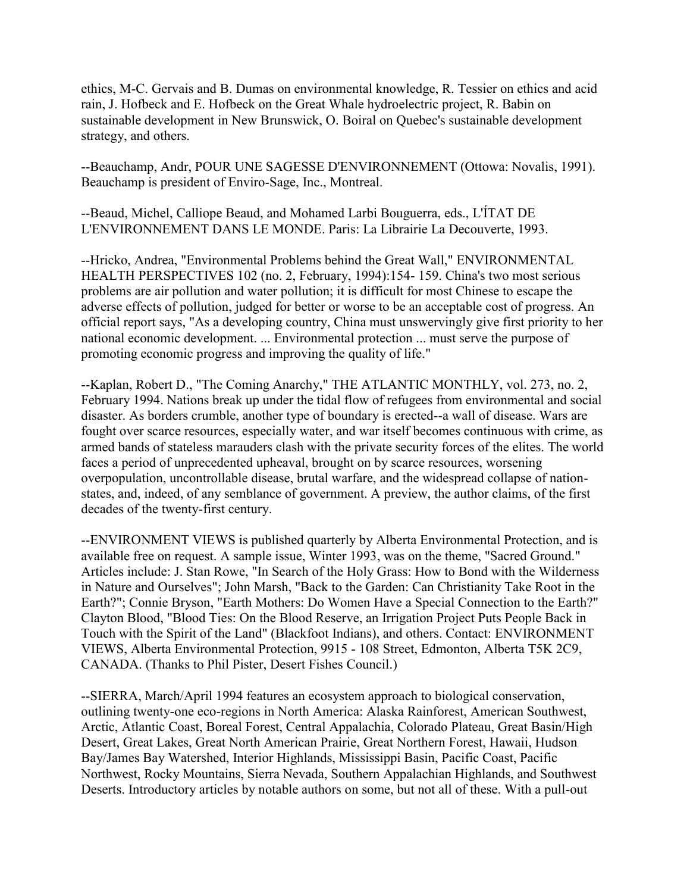ethics, M-C. Gervais and B. Dumas on environmental knowledge, R. Tessier on ethics and acid rain, J. Hofbeck and E. Hofbeck on the Great Whale hydroelectric project, R. Babin on sustainable development in New Brunswick, O. Boiral on Quebec's sustainable development strategy, and others.

--Beauchamp, Andr, POUR UNE SAGESSE D'ENVIRONNEMENT (Ottowa: Novalis, 1991). Beauchamp is president of Enviro-Sage, Inc., Montreal.

--Beaud, Michel, Calliope Beaud, and Mohamed Larbi Bouguerra, eds., L'ÍTAT DE L'ENVIRONNEMENT DANS LE MONDE. Paris: La Librairie La Decouverte, 1993.

--Hricko, Andrea, "Environmental Problems behind the Great Wall," ENVIRONMENTAL HEALTH PERSPECTIVES 102 (no. 2, February, 1994):154- 159. China's two most serious problems are air pollution and water pollution; it is difficult for most Chinese to escape the adverse effects of pollution, judged for better or worse to be an acceptable cost of progress. An official report says, "As a developing country, China must unswervingly give first priority to her national economic development. ... Environmental protection ... must serve the purpose of promoting economic progress and improving the quality of life."

--Kaplan, Robert D., "The Coming Anarchy," THE ATLANTIC MONTHLY, vol. 273, no. 2, February 1994. Nations break up under the tidal flow of refugees from environmental and social disaster. As borders crumble, another type of boundary is erected--a wall of disease. Wars are fought over scarce resources, especially water, and war itself becomes continuous with crime, as armed bands of stateless marauders clash with the private security forces of the elites. The world faces a period of unprecedented upheaval, brought on by scarce resources, worsening overpopulation, uncontrollable disease, brutal warfare, and the widespread collapse of nationstates, and, indeed, of any semblance of government. A preview, the author claims, of the first decades of the twenty-first century.

--ENVIRONMENT VIEWS is published quarterly by Alberta Environmental Protection, and is available free on request. A sample issue, Winter 1993, was on the theme, "Sacred Ground." Articles include: J. Stan Rowe, "In Search of the Holy Grass: How to Bond with the Wilderness in Nature and Ourselves"; John Marsh, "Back to the Garden: Can Christianity Take Root in the Earth?"; Connie Bryson, "Earth Mothers: Do Women Have a Special Connection to the Earth?" Clayton Blood, "Blood Ties: On the Blood Reserve, an Irrigation Project Puts People Back in Touch with the Spirit of the Land" (Blackfoot Indians), and others. Contact: ENVIRONMENT VIEWS, Alberta Environmental Protection, 9915 - 108 Street, Edmonton, Alberta T5K 2C9, CANADA. (Thanks to Phil Pister, Desert Fishes Council.)

--SIERRA, March/April 1994 features an ecosystem approach to biological conservation, outlining twenty-one eco-regions in North America: Alaska Rainforest, American Southwest, Arctic, Atlantic Coast, Boreal Forest, Central Appalachia, Colorado Plateau, Great Basin/High Desert, Great Lakes, Great North American Prairie, Great Northern Forest, Hawaii, Hudson Bay/James Bay Watershed, Interior Highlands, Mississippi Basin, Pacific Coast, Pacific Northwest, Rocky Mountains, Sierra Nevada, Southern Appalachian Highlands, and Southwest Deserts. Introductory articles by notable authors on some, but not all of these. With a pull-out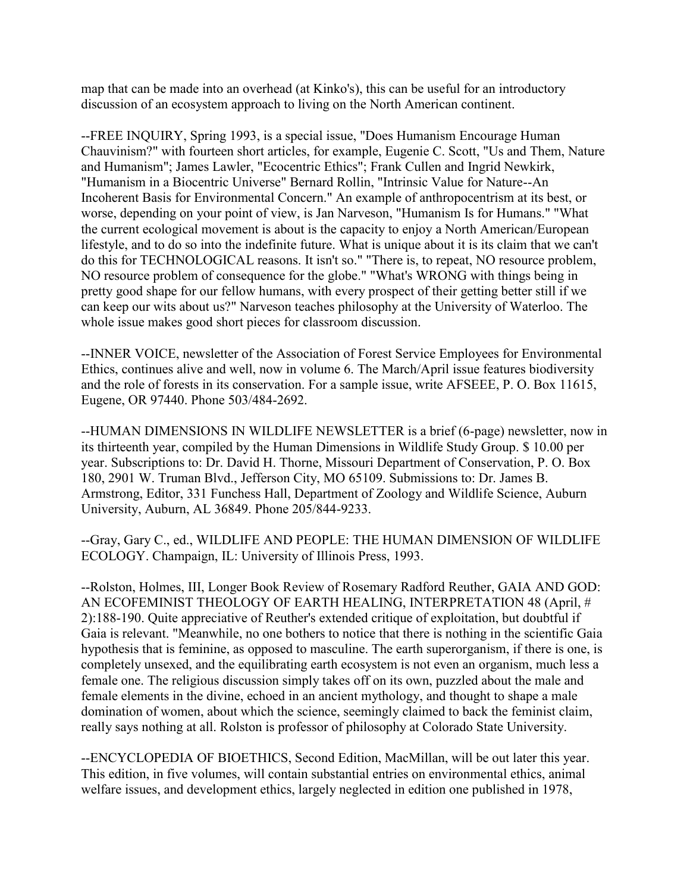map that can be made into an overhead (at Kinko's), this can be useful for an introductory discussion of an ecosystem approach to living on the North American continent.

--FREE INQUIRY, Spring 1993, is a special issue, "Does Humanism Encourage Human Chauvinism?" with fourteen short articles, for example, Eugenie C. Scott, "Us and Them, Nature and Humanism"; James Lawler, "Ecocentric Ethics"; Frank Cullen and Ingrid Newkirk, "Humanism in a Biocentric Universe" Bernard Rollin, "Intrinsic Value for Nature--An Incoherent Basis for Environmental Concern." An example of anthropocentrism at its best, or worse, depending on your point of view, is Jan Narveson, "Humanism Is for Humans." "What the current ecological movement is about is the capacity to enjoy a North American/European lifestyle, and to do so into the indefinite future. What is unique about it is its claim that we can't do this for TECHNOLOGICAL reasons. It isn't so." "There is, to repeat, NO resource problem, NO resource problem of consequence for the globe." "What's WRONG with things being in pretty good shape for our fellow humans, with every prospect of their getting better still if we can keep our wits about us?" Narveson teaches philosophy at the University of Waterloo. The whole issue makes good short pieces for classroom discussion.

--INNER VOICE, newsletter of the Association of Forest Service Employees for Environmental Ethics, continues alive and well, now in volume 6. The March/April issue features biodiversity and the role of forests in its conservation. For a sample issue, write AFSEEE, P. O. Box 11615, Eugene, OR 97440. Phone 503/484-2692.

--HUMAN DIMENSIONS IN WILDLIFE NEWSLETTER is a brief (6-page) newsletter, now in its thirteenth year, compiled by the Human Dimensions in Wildlife Study Group. \$ 10.00 per year. Subscriptions to: Dr. David H. Thorne, Missouri Department of Conservation, P. O. Box 180, 2901 W. Truman Blvd., Jefferson City, MO 65109. Submissions to: Dr. James B. Armstrong, Editor, 331 Funchess Hall, Department of Zoology and Wildlife Science, Auburn University, Auburn, AL 36849. Phone 205/844-9233.

--Gray, Gary C., ed., WILDLIFE AND PEOPLE: THE HUMAN DIMENSION OF WILDLIFE ECOLOGY. Champaign, IL: University of Illinois Press, 1993.

--Rolston, Holmes, III, Longer Book Review of Rosemary Radford Reuther, GAIA AND GOD: AN ECOFEMINIST THEOLOGY OF EARTH HEALING, INTERPRETATION 48 (April, # 2):188-190. Quite appreciative of Reuther's extended critique of exploitation, but doubtful if Gaia is relevant. "Meanwhile, no one bothers to notice that there is nothing in the scientific Gaia hypothesis that is feminine, as opposed to masculine. The earth superorganism, if there is one, is completely unsexed, and the equilibrating earth ecosystem is not even an organism, much less a female one. The religious discussion simply takes off on its own, puzzled about the male and female elements in the divine, echoed in an ancient mythology, and thought to shape a male domination of women, about which the science, seemingly claimed to back the feminist claim, really says nothing at all. Rolston is professor of philosophy at Colorado State University.

--ENCYCLOPEDIA OF BIOETHICS, Second Edition, MacMillan, will be out later this year. This edition, in five volumes, will contain substantial entries on environmental ethics, animal welfare issues, and development ethics, largely neglected in edition one published in 1978,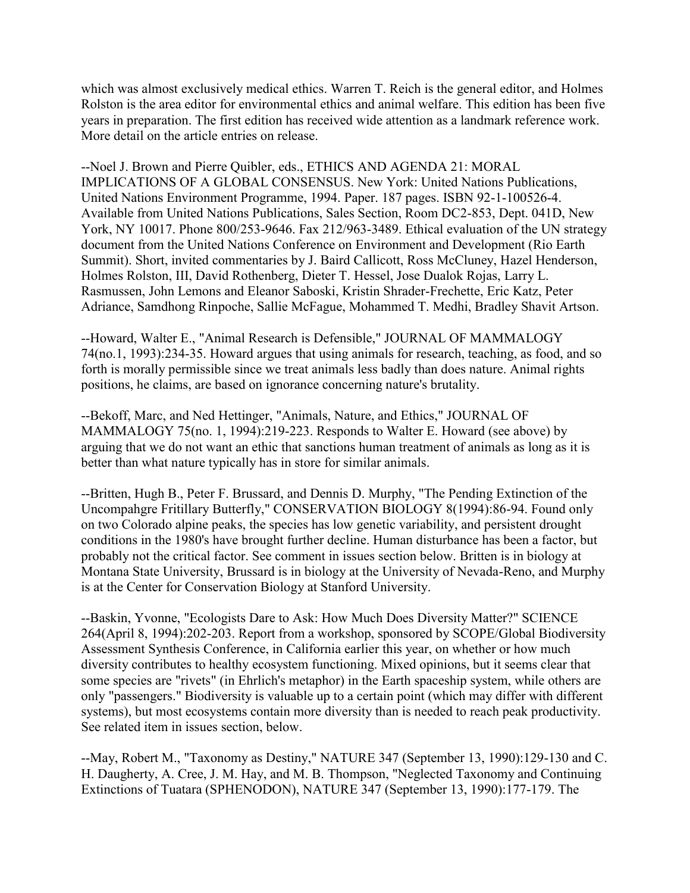which was almost exclusively medical ethics. Warren T. Reich is the general editor, and Holmes Rolston is the area editor for environmental ethics and animal welfare. This edition has been five years in preparation. The first edition has received wide attention as a landmark reference work. More detail on the article entries on release.

--Noel J. Brown and Pierre Quibler, eds., ETHICS AND AGENDA 21: MORAL IMPLICATIONS OF A GLOBAL CONSENSUS. New York: United Nations Publications, United Nations Environment Programme, 1994. Paper. 187 pages. ISBN 92-1-100526-4. Available from United Nations Publications, Sales Section, Room DC2-853, Dept. 041D, New York, NY 10017. Phone 800/253-9646. Fax 212/963-3489. Ethical evaluation of the UN strategy document from the United Nations Conference on Environment and Development (Rio Earth Summit). Short, invited commentaries by J. Baird Callicott, Ross McCluney, Hazel Henderson, Holmes Rolston, III, David Rothenberg, Dieter T. Hessel, Jose Dualok Rojas, Larry L. Rasmussen, John Lemons and Eleanor Saboski, Kristin Shrader-Frechette, Eric Katz, Peter Adriance, Samdhong Rinpoche, Sallie McFague, Mohammed T. Medhi, Bradley Shavit Artson.

--Howard, Walter E., "Animal Research is Defensible," JOURNAL OF MAMMALOGY 74(no.1, 1993):234-35. Howard argues that using animals for research, teaching, as food, and so forth is morally permissible since we treat animals less badly than does nature. Animal rights positions, he claims, are based on ignorance concerning nature's brutality.

--Bekoff, Marc, and Ned Hettinger, "Animals, Nature, and Ethics," JOURNAL OF MAMMALOGY 75(no. 1, 1994):219-223. Responds to Walter E. Howard (see above) by arguing that we do not want an ethic that sanctions human treatment of animals as long as it is better than what nature typically has in store for similar animals.

--Britten, Hugh B., Peter F. Brussard, and Dennis D. Murphy, "The Pending Extinction of the Uncompahgre Fritillary Butterfly," CONSERVATION BIOLOGY 8(1994):86-94. Found only on two Colorado alpine peaks, the species has low genetic variability, and persistent drought conditions in the 1980's have brought further decline. Human disturbance has been a factor, but probably not the critical factor. See comment in issues section below. Britten is in biology at Montana State University, Brussard is in biology at the University of Nevada-Reno, and Murphy is at the Center for Conservation Biology at Stanford University.

--Baskin, Yvonne, "Ecologists Dare to Ask: How Much Does Diversity Matter?" SCIENCE 264(April 8, 1994):202-203. Report from a workshop, sponsored by SCOPE/Global Biodiversity Assessment Synthesis Conference, in California earlier this year, on whether or how much diversity contributes to healthy ecosystem functioning. Mixed opinions, but it seems clear that some species are "rivets" (in Ehrlich's metaphor) in the Earth spaceship system, while others are only "passengers." Biodiversity is valuable up to a certain point (which may differ with different systems), but most ecosystems contain more diversity than is needed to reach peak productivity. See related item in issues section, below.

--May, Robert M., "Taxonomy as Destiny," NATURE 347 (September 13, 1990):129-130 and C. H. Daugherty, A. Cree, J. M. Hay, and M. B. Thompson, "Neglected Taxonomy and Continuing Extinctions of Tuatara (SPHENODON), NATURE 347 (September 13, 1990):177-179. The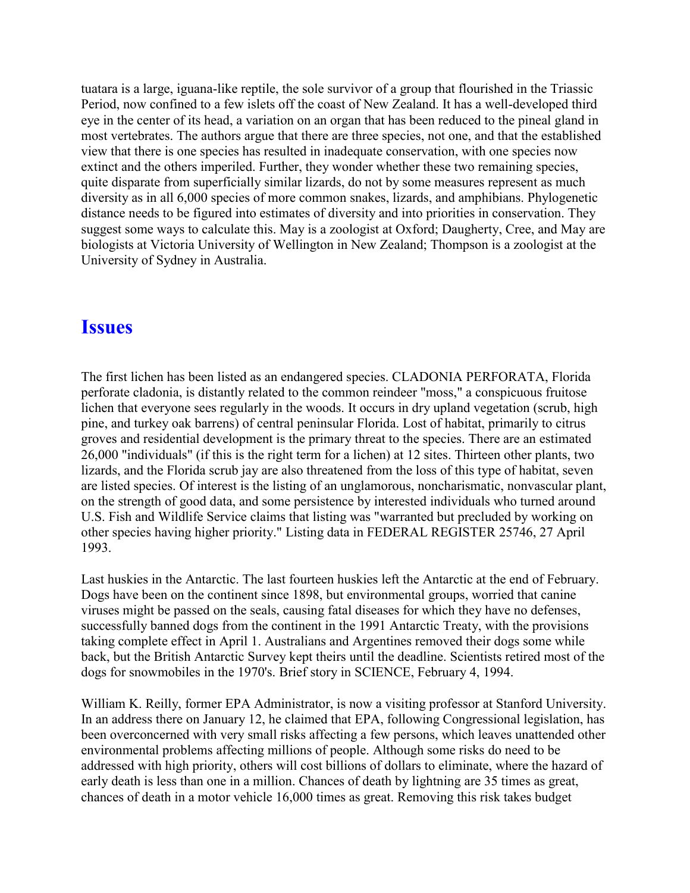tuatara is a large, iguana-like reptile, the sole survivor of a group that flourished in the Triassic Period, now confined to a few islets off the coast of New Zealand. It has a well-developed third eye in the center of its head, a variation on an organ that has been reduced to the pineal gland in most vertebrates. The authors argue that there are three species, not one, and that the established view that there is one species has resulted in inadequate conservation, with one species now extinct and the others imperiled. Further, they wonder whether these two remaining species, quite disparate from superficially similar lizards, do not by some measures represent as much diversity as in all 6,000 species of more common snakes, lizards, and amphibians. Phylogenetic distance needs to be figured into estimates of diversity and into priorities in conservation. They suggest some ways to calculate this. May is a zoologist at Oxford; Daugherty, Cree, and May are biologists at Victoria University of Wellington in New Zealand; Thompson is a zoologist at the University of Sydney in Australia.

### **Issues**

The first lichen has been listed as an endangered species. CLADONIA PERFORATA, Florida perforate cladonia, is distantly related to the common reindeer "moss," a conspicuous fruitose lichen that everyone sees regularly in the woods. It occurs in dry upland vegetation (scrub, high pine, and turkey oak barrens) of central peninsular Florida. Lost of habitat, primarily to citrus groves and residential development is the primary threat to the species. There are an estimated 26,000 "individuals" (if this is the right term for a lichen) at 12 sites. Thirteen other plants, two lizards, and the Florida scrub jay are also threatened from the loss of this type of habitat, seven are listed species. Of interest is the listing of an unglamorous, noncharismatic, nonvascular plant, on the strength of good data, and some persistence by interested individuals who turned around U.S. Fish and Wildlife Service claims that listing was "warranted but precluded by working on other species having higher priority." Listing data in FEDERAL REGISTER 25746, 27 April 1993.

Last huskies in the Antarctic. The last fourteen huskies left the Antarctic at the end of February. Dogs have been on the continent since 1898, but environmental groups, worried that canine viruses might be passed on the seals, causing fatal diseases for which they have no defenses, successfully banned dogs from the continent in the 1991 Antarctic Treaty, with the provisions taking complete effect in April 1. Australians and Argentines removed their dogs some while back, but the British Antarctic Survey kept theirs until the deadline. Scientists retired most of the dogs for snowmobiles in the 1970's. Brief story in SCIENCE, February 4, 1994.

William K. Reilly, former EPA Administrator, is now a visiting professor at Stanford University. In an address there on January 12, he claimed that EPA, following Congressional legislation, has been overconcerned with very small risks affecting a few persons, which leaves unattended other environmental problems affecting millions of people. Although some risks do need to be addressed with high priority, others will cost billions of dollars to eliminate, where the hazard of early death is less than one in a million. Chances of death by lightning are 35 times as great, chances of death in a motor vehicle 16,000 times as great. Removing this risk takes budget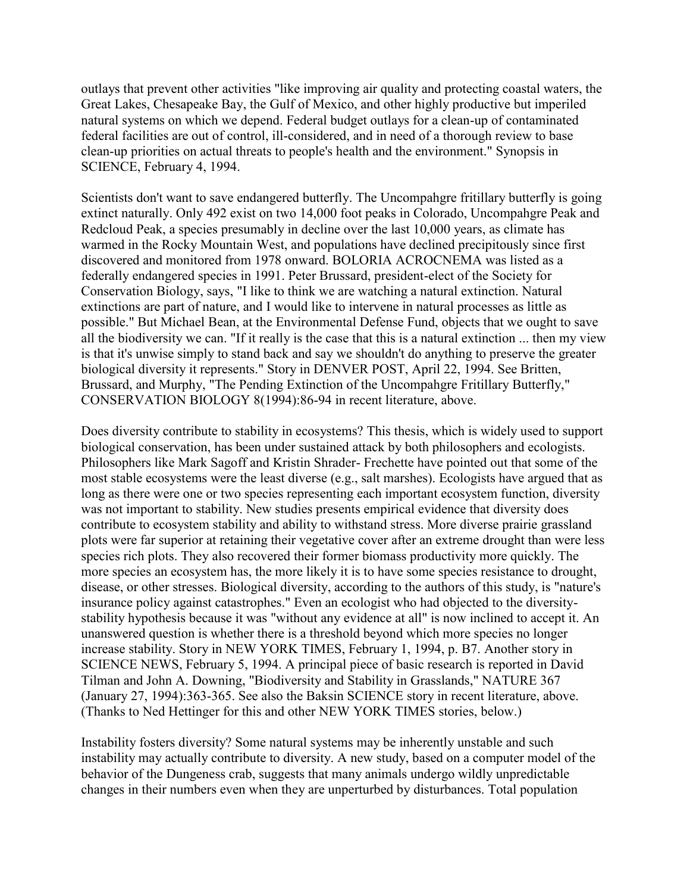outlays that prevent other activities "like improving air quality and protecting coastal waters, the Great Lakes, Chesapeake Bay, the Gulf of Mexico, and other highly productive but imperiled natural systems on which we depend. Federal budget outlays for a clean-up of contaminated federal facilities are out of control, ill-considered, and in need of a thorough review to base clean-up priorities on actual threats to people's health and the environment." Synopsis in SCIENCE, February 4, 1994.

Scientists don't want to save endangered butterfly. The Uncompahgre fritillary butterfly is going extinct naturally. Only 492 exist on two 14,000 foot peaks in Colorado, Uncompahgre Peak and Redcloud Peak, a species presumably in decline over the last 10,000 years, as climate has warmed in the Rocky Mountain West, and populations have declined precipitously since first discovered and monitored from 1978 onward. BOLORIA ACROCNEMA was listed as a federally endangered species in 1991. Peter Brussard, president-elect of the Society for Conservation Biology, says, "I like to think we are watching a natural extinction. Natural extinctions are part of nature, and I would like to intervene in natural processes as little as possible." But Michael Bean, at the Environmental Defense Fund, objects that we ought to save all the biodiversity we can. "If it really is the case that this is a natural extinction ... then my view is that it's unwise simply to stand back and say we shouldn't do anything to preserve the greater biological diversity it represents." Story in DENVER POST, April 22, 1994. See Britten, Brussard, and Murphy, "The Pending Extinction of the Uncompahgre Fritillary Butterfly," CONSERVATION BIOLOGY 8(1994):86-94 in recent literature, above.

Does diversity contribute to stability in ecosystems? This thesis, which is widely used to support biological conservation, has been under sustained attack by both philosophers and ecologists. Philosophers like Mark Sagoff and Kristin Shrader- Frechette have pointed out that some of the most stable ecosystems were the least diverse (e.g., salt marshes). Ecologists have argued that as long as there were one or two species representing each important ecosystem function, diversity was not important to stability. New studies presents empirical evidence that diversity does contribute to ecosystem stability and ability to withstand stress. More diverse prairie grassland plots were far superior at retaining their vegetative cover after an extreme drought than were less species rich plots. They also recovered their former biomass productivity more quickly. The more species an ecosystem has, the more likely it is to have some species resistance to drought, disease, or other stresses. Biological diversity, according to the authors of this study, is "nature's insurance policy against catastrophes." Even an ecologist who had objected to the diversitystability hypothesis because it was "without any evidence at all" is now inclined to accept it. An unanswered question is whether there is a threshold beyond which more species no longer increase stability. Story in NEW YORK TIMES, February 1, 1994, p. B7. Another story in SCIENCE NEWS, February 5, 1994. A principal piece of basic research is reported in David Tilman and John A. Downing, "Biodiversity and Stability in Grasslands," NATURE 367 (January 27, 1994):363-365. See also the Baksin SCIENCE story in recent literature, above. (Thanks to Ned Hettinger for this and other NEW YORK TIMES stories, below.)

Instability fosters diversity? Some natural systems may be inherently unstable and such instability may actually contribute to diversity. A new study, based on a computer model of the behavior of the Dungeness crab, suggests that many animals undergo wildly unpredictable changes in their numbers even when they are unperturbed by disturbances. Total population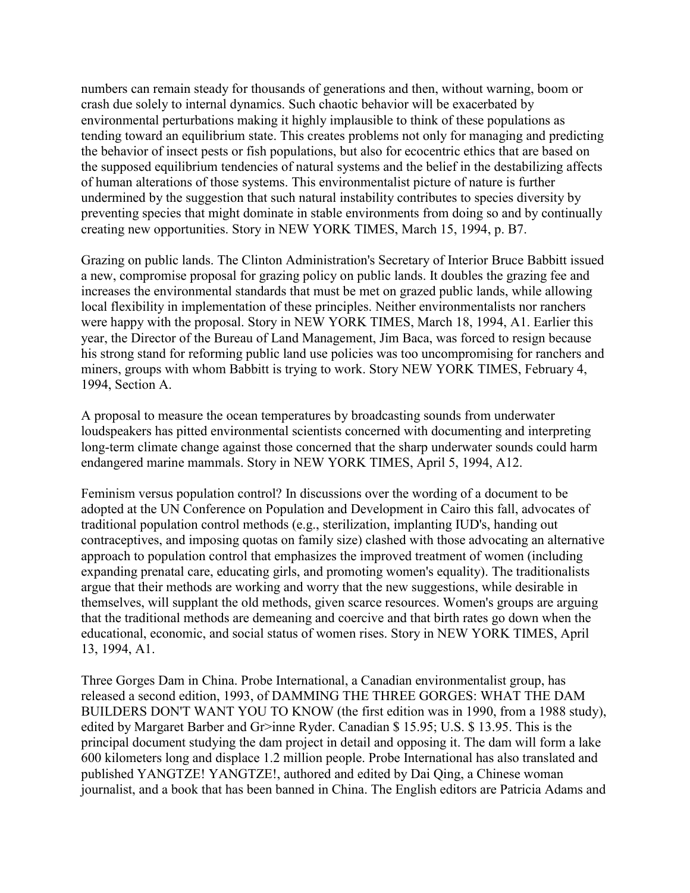numbers can remain steady for thousands of generations and then, without warning, boom or crash due solely to internal dynamics. Such chaotic behavior will be exacerbated by environmental perturbations making it highly implausible to think of these populations as tending toward an equilibrium state. This creates problems not only for managing and predicting the behavior of insect pests or fish populations, but also for ecocentric ethics that are based on the supposed equilibrium tendencies of natural systems and the belief in the destabilizing affects of human alterations of those systems. This environmentalist picture of nature is further undermined by the suggestion that such natural instability contributes to species diversity by preventing species that might dominate in stable environments from doing so and by continually creating new opportunities. Story in NEW YORK TIMES, March 15, 1994, p. B7.

Grazing on public lands. The Clinton Administration's Secretary of Interior Bruce Babbitt issued a new, compromise proposal for grazing policy on public lands. It doubles the grazing fee and increases the environmental standards that must be met on grazed public lands, while allowing local flexibility in implementation of these principles. Neither environmentalists nor ranchers were happy with the proposal. Story in NEW YORK TIMES, March 18, 1994, A1. Earlier this year, the Director of the Bureau of Land Management, Jim Baca, was forced to resign because his strong stand for reforming public land use policies was too uncompromising for ranchers and miners, groups with whom Babbitt is trying to work. Story NEW YORK TIMES, February 4, 1994, Section A.

A proposal to measure the ocean temperatures by broadcasting sounds from underwater loudspeakers has pitted environmental scientists concerned with documenting and interpreting long-term climate change against those concerned that the sharp underwater sounds could harm endangered marine mammals. Story in NEW YORK TIMES, April 5, 1994, A12.

Feminism versus population control? In discussions over the wording of a document to be adopted at the UN Conference on Population and Development in Cairo this fall, advocates of traditional population control methods (e.g., sterilization, implanting IUD's, handing out contraceptives, and imposing quotas on family size) clashed with those advocating an alternative approach to population control that emphasizes the improved treatment of women (including expanding prenatal care, educating girls, and promoting women's equality). The traditionalists argue that their methods are working and worry that the new suggestions, while desirable in themselves, will supplant the old methods, given scarce resources. Women's groups are arguing that the traditional methods are demeaning and coercive and that birth rates go down when the educational, economic, and social status of women rises. Story in NEW YORK TIMES, April 13, 1994, A1.

Three Gorges Dam in China. Probe International, a Canadian environmentalist group, has released a second edition, 1993, of DAMMING THE THREE GORGES: WHAT THE DAM BUILDERS DON'T WANT YOU TO KNOW (the first edition was in 1990, from a 1988 study), edited by Margaret Barber and Gr>inne Ryder. Canadian \$ 15.95; U.S. \$ 13.95. This is the principal document studying the dam project in detail and opposing it. The dam will form a lake 600 kilometers long and displace 1.2 million people. Probe International has also translated and published YANGTZE! YANGTZE!, authored and edited by Dai Qing, a Chinese woman journalist, and a book that has been banned in China. The English editors are Patricia Adams and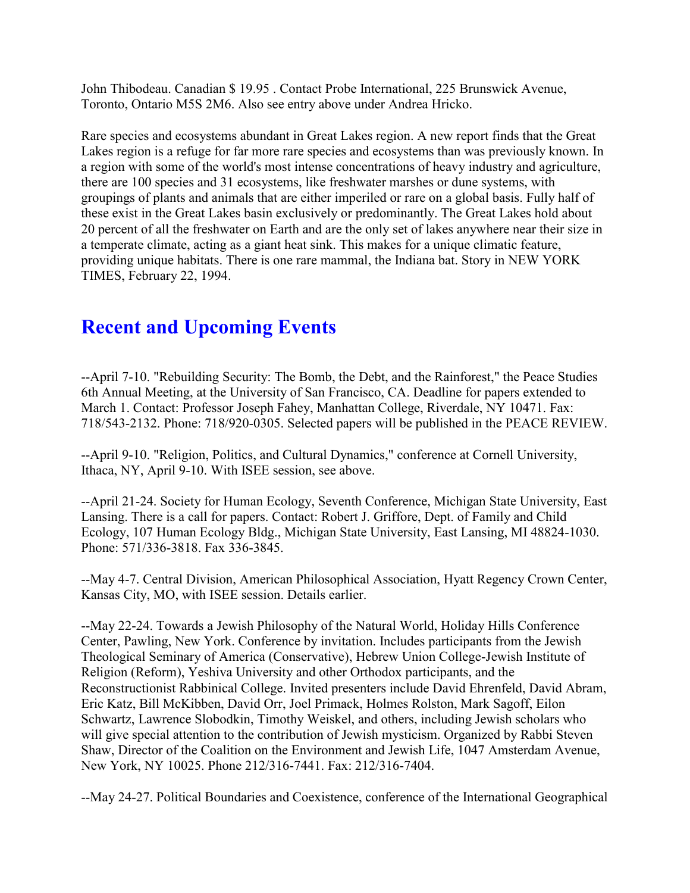John Thibodeau. Canadian \$ 19.95 . Contact Probe International, 225 Brunswick Avenue, Toronto, Ontario M5S 2M6. Also see entry above under Andrea Hricko.

Rare species and ecosystems abundant in Great Lakes region. A new report finds that the Great Lakes region is a refuge for far more rare species and ecosystems than was previously known. In a region with some of the world's most intense concentrations of heavy industry and agriculture, there are 100 species and 31 ecosystems, like freshwater marshes or dune systems, with groupings of plants and animals that are either imperiled or rare on a global basis. Fully half of these exist in the Great Lakes basin exclusively or predominantly. The Great Lakes hold about 20 percent of all the freshwater on Earth and are the only set of lakes anywhere near their size in a temperate climate, acting as a giant heat sink. This makes for a unique climatic feature, providing unique habitats. There is one rare mammal, the Indiana bat. Story in NEW YORK TIMES, February 22, 1994.

### **Recent and Upcoming Events**

--April 7-10. "Rebuilding Security: The Bomb, the Debt, and the Rainforest," the Peace Studies 6th Annual Meeting, at the University of San Francisco, CA. Deadline for papers extended to March 1. Contact: Professor Joseph Fahey, Manhattan College, Riverdale, NY 10471. Fax: 718/543-2132. Phone: 718/920-0305. Selected papers will be published in the PEACE REVIEW.

--April 9-10. "Religion, Politics, and Cultural Dynamics," conference at Cornell University, Ithaca, NY, April 9-10. With ISEE session, see above.

--April 21-24. Society for Human Ecology, Seventh Conference, Michigan State University, East Lansing. There is a call for papers. Contact: Robert J. Griffore, Dept. of Family and Child Ecology, 107 Human Ecology Bldg., Michigan State University, East Lansing, MI 48824-1030. Phone: 571/336-3818. Fax 336-3845.

--May 4-7. Central Division, American Philosophical Association, Hyatt Regency Crown Center, Kansas City, MO, with ISEE session. Details earlier.

--May 22-24. Towards a Jewish Philosophy of the Natural World, Holiday Hills Conference Center, Pawling, New York. Conference by invitation. Includes participants from the Jewish Theological Seminary of America (Conservative), Hebrew Union College-Jewish Institute of Religion (Reform), Yeshiva University and other Orthodox participants, and the Reconstructionist Rabbinical College. Invited presenters include David Ehrenfeld, David Abram, Eric Katz, Bill McKibben, David Orr, Joel Primack, Holmes Rolston, Mark Sagoff, Eilon Schwartz, Lawrence Slobodkin, Timothy Weiskel, and others, including Jewish scholars who will give special attention to the contribution of Jewish mysticism. Organized by Rabbi Steven Shaw, Director of the Coalition on the Environment and Jewish Life, 1047 Amsterdam Avenue, New York, NY 10025. Phone 212/316-7441. Fax: 212/316-7404.

--May 24-27. Political Boundaries and Coexistence, conference of the International Geographical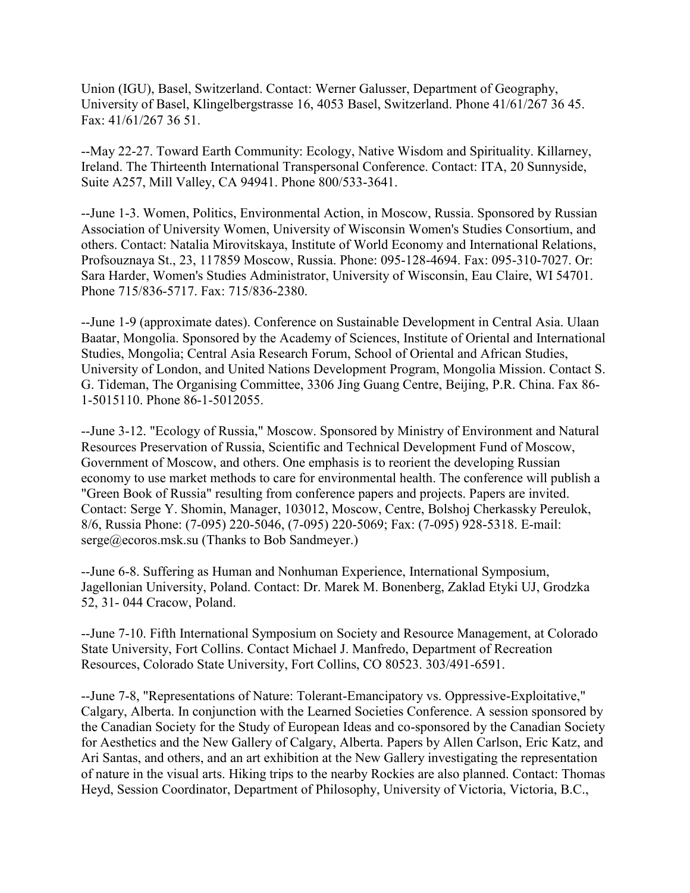Union (IGU), Basel, Switzerland. Contact: Werner Galusser, Department of Geography, University of Basel, Klingelbergstrasse 16, 4053 Basel, Switzerland. Phone 41/61/267 36 45. Fax: 41/61/267 36 51.

--May 22-27. Toward Earth Community: Ecology, Native Wisdom and Spirituality. Killarney, Ireland. The Thirteenth International Transpersonal Conference. Contact: ITA, 20 Sunnyside, Suite A257, Mill Valley, CA 94941. Phone 800/533-3641.

--June 1-3. Women, Politics, Environmental Action, in Moscow, Russia. Sponsored by Russian Association of University Women, University of Wisconsin Women's Studies Consortium, and others. Contact: Natalia Mirovitskaya, Institute of World Economy and International Relations, Profsouznaya St., 23, 117859 Moscow, Russia. Phone: 095-128-4694. Fax: 095-310-7027. Or: Sara Harder, Women's Studies Administrator, University of Wisconsin, Eau Claire, WI 54701. Phone 715/836-5717. Fax: 715/836-2380.

--June 1-9 (approximate dates). Conference on Sustainable Development in Central Asia. Ulaan Baatar, Mongolia. Sponsored by the Academy of Sciences, Institute of Oriental and International Studies, Mongolia; Central Asia Research Forum, School of Oriental and African Studies, University of London, and United Nations Development Program, Mongolia Mission. Contact S. G. Tideman, The Organising Committee, 3306 Jing Guang Centre, Beijing, P.R. China. Fax 86- 1-5015110. Phone 86-1-5012055.

--June 3-12. "Ecology of Russia," Moscow. Sponsored by Ministry of Environment and Natural Resources Preservation of Russia, Scientific and Technical Development Fund of Moscow, Government of Moscow, and others. One emphasis is to reorient the developing Russian economy to use market methods to care for environmental health. The conference will publish a "Green Book of Russia" resulting from conference papers and projects. Papers are invited. Contact: Serge Y. Shomin, Manager, 103012, Moscow, Centre, Bolshoj Cherkassky Pereulok, 8/6, Russia Phone: (7-095) 220-5046, (7-095) 220-5069; Fax: (7-095) 928-5318. E-mail: serge@ecoros.msk.su (Thanks to Bob Sandmeyer.)

--June 6-8. Suffering as Human and Nonhuman Experience, International Symposium, Jagellonian University, Poland. Contact: Dr. Marek M. Bonenberg, Zaklad Etyki UJ, Grodzka 52, 31- 044 Cracow, Poland.

--June 7-10. Fifth International Symposium on Society and Resource Management, at Colorado State University, Fort Collins. Contact Michael J. Manfredo, Department of Recreation Resources, Colorado State University, Fort Collins, CO 80523. 303/491-6591.

--June 7-8, "Representations of Nature: Tolerant-Emancipatory vs. Oppressive-Exploitative," Calgary, Alberta. In conjunction with the Learned Societies Conference. A session sponsored by the Canadian Society for the Study of European Ideas and co-sponsored by the Canadian Society for Aesthetics and the New Gallery of Calgary, Alberta. Papers by Allen Carlson, Eric Katz, and Ari Santas, and others, and an art exhibition at the New Gallery investigating the representation of nature in the visual arts. Hiking trips to the nearby Rockies are also planned. Contact: Thomas Heyd, Session Coordinator, Department of Philosophy, University of Victoria, Victoria, B.C.,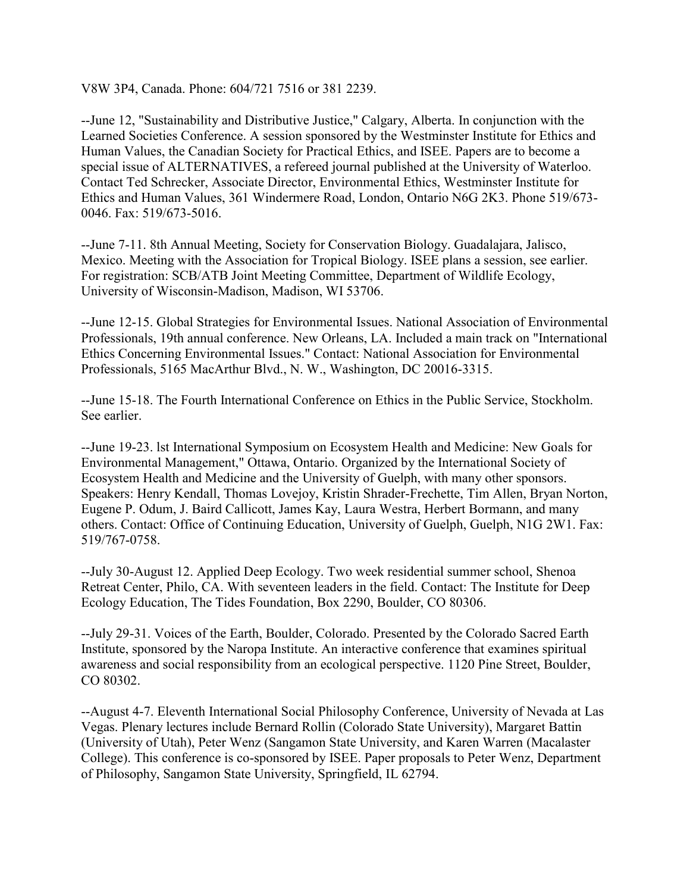V8W 3P4, Canada. Phone: 604/721 7516 or 381 2239.

--June 12, "Sustainability and Distributive Justice," Calgary, Alberta. In conjunction with the Learned Societies Conference. A session sponsored by the Westminster Institute for Ethics and Human Values, the Canadian Society for Practical Ethics, and ISEE. Papers are to become a special issue of ALTERNATIVES, a refereed journal published at the University of Waterloo. Contact Ted Schrecker, Associate Director, Environmental Ethics, Westminster Institute for Ethics and Human Values, 361 Windermere Road, London, Ontario N6G 2K3. Phone 519/673- 0046. Fax: 519/673-5016.

--June 7-11. 8th Annual Meeting, Society for Conservation Biology. Guadalajara, Jalisco, Mexico. Meeting with the Association for Tropical Biology. ISEE plans a session, see earlier. For registration: SCB/ATB Joint Meeting Committee, Department of Wildlife Ecology, University of Wisconsin-Madison, Madison, WI 53706.

--June 12-15. Global Strategies for Environmental Issues. National Association of Environmental Professionals, 19th annual conference. New Orleans, LA. Included a main track on "International Ethics Concerning Environmental Issues." Contact: National Association for Environmental Professionals, 5165 MacArthur Blvd., N. W., Washington, DC 20016-3315.

--June 15-18. The Fourth International Conference on Ethics in the Public Service, Stockholm. See earlier.

--June 19-23. lst International Symposium on Ecosystem Health and Medicine: New Goals for Environmental Management," Ottawa, Ontario. Organized by the International Society of Ecosystem Health and Medicine and the University of Guelph, with many other sponsors. Speakers: Henry Kendall, Thomas Lovejoy, Kristin Shrader-Frechette, Tim Allen, Bryan Norton, Eugene P. Odum, J. Baird Callicott, James Kay, Laura Westra, Herbert Bormann, and many others. Contact: Office of Continuing Education, University of Guelph, Guelph, N1G 2W1. Fax: 519/767-0758.

--July 30-August 12. Applied Deep Ecology. Two week residential summer school, Shenoa Retreat Center, Philo, CA. With seventeen leaders in the field. Contact: The Institute for Deep Ecology Education, The Tides Foundation, Box 2290, Boulder, CO 80306.

--July 29-31. Voices of the Earth, Boulder, Colorado. Presented by the Colorado Sacred Earth Institute, sponsored by the Naropa Institute. An interactive conference that examines spiritual awareness and social responsibility from an ecological perspective. 1120 Pine Street, Boulder, CO 80302.

--August 4-7. Eleventh International Social Philosophy Conference, University of Nevada at Las Vegas. Plenary lectures include Bernard Rollin (Colorado State University), Margaret Battin (University of Utah), Peter Wenz (Sangamon State University, and Karen Warren (Macalaster College). This conference is co-sponsored by ISEE. Paper proposals to Peter Wenz, Department of Philosophy, Sangamon State University, Springfield, IL 62794.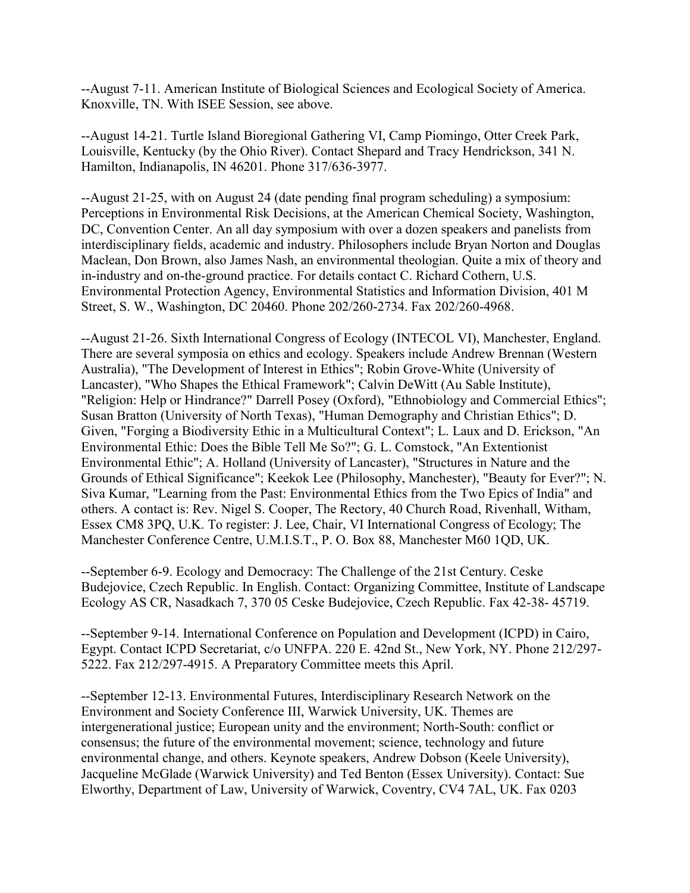--August 7-11. American Institute of Biological Sciences and Ecological Society of America. Knoxville, TN. With ISEE Session, see above.

--August 14-21. Turtle Island Bioregional Gathering VI, Camp Piomingo, Otter Creek Park, Louisville, Kentucky (by the Ohio River). Contact Shepard and Tracy Hendrickson, 341 N. Hamilton, Indianapolis, IN 46201. Phone 317/636-3977.

--August 21-25, with on August 24 (date pending final program scheduling) a symposium: Perceptions in Environmental Risk Decisions, at the American Chemical Society, Washington, DC, Convention Center. An all day symposium with over a dozen speakers and panelists from interdisciplinary fields, academic and industry. Philosophers include Bryan Norton and Douglas Maclean, Don Brown, also James Nash, an environmental theologian. Quite a mix of theory and in-industry and on-the-ground practice. For details contact C. Richard Cothern, U.S. Environmental Protection Agency, Environmental Statistics and Information Division, 401 M Street, S. W., Washington, DC 20460. Phone 202/260-2734. Fax 202/260-4968.

--August 21-26. Sixth International Congress of Ecology (INTECOL VI), Manchester, England. There are several symposia on ethics and ecology. Speakers include Andrew Brennan (Western Australia), "The Development of Interest in Ethics"; Robin Grove-White (University of Lancaster), "Who Shapes the Ethical Framework"; Calvin DeWitt (Au Sable Institute), "Religion: Help or Hindrance?" Darrell Posey (Oxford), "Ethnobiology and Commercial Ethics"; Susan Bratton (University of North Texas), "Human Demography and Christian Ethics"; D. Given, "Forging a Biodiversity Ethic in a Multicultural Context"; L. Laux and D. Erickson, "An Environmental Ethic: Does the Bible Tell Me So?"; G. L. Comstock, "An Extentionist Environmental Ethic"; A. Holland (University of Lancaster), "Structures in Nature and the Grounds of Ethical Significance"; Keekok Lee (Philosophy, Manchester), "Beauty for Ever?"; N. Siva Kumar, "Learning from the Past: Environmental Ethics from the Two Epics of India" and others. A contact is: Rev. Nigel S. Cooper, The Rectory, 40 Church Road, Rivenhall, Witham, Essex CM8 3PQ, U.K. To register: J. Lee, Chair, VI International Congress of Ecology; The Manchester Conference Centre, U.M.I.S.T., P. O. Box 88, Manchester M60 1QD, UK.

--September 6-9. Ecology and Democracy: The Challenge of the 21st Century. Ceske Budejovice, Czech Republic. In English. Contact: Organizing Committee, Institute of Landscape Ecology AS CR, Nasadkach 7, 370 05 Ceske Budejovice, Czech Republic. Fax 42-38- 45719.

--September 9-14. International Conference on Population and Development (ICPD) in Cairo, Egypt. Contact ICPD Secretariat, c/o UNFPA. 220 E. 42nd St., New York, NY. Phone 212/297- 5222. Fax 212/297-4915. A Preparatory Committee meets this April.

--September 12-13. Environmental Futures, Interdisciplinary Research Network on the Environment and Society Conference III, Warwick University, UK. Themes are intergenerational justice; European unity and the environment; North-South: conflict or consensus; the future of the environmental movement; science, technology and future environmental change, and others. Keynote speakers, Andrew Dobson (Keele University), Jacqueline McGlade (Warwick University) and Ted Benton (Essex University). Contact: Sue Elworthy, Department of Law, University of Warwick, Coventry, CV4 7AL, UK. Fax 0203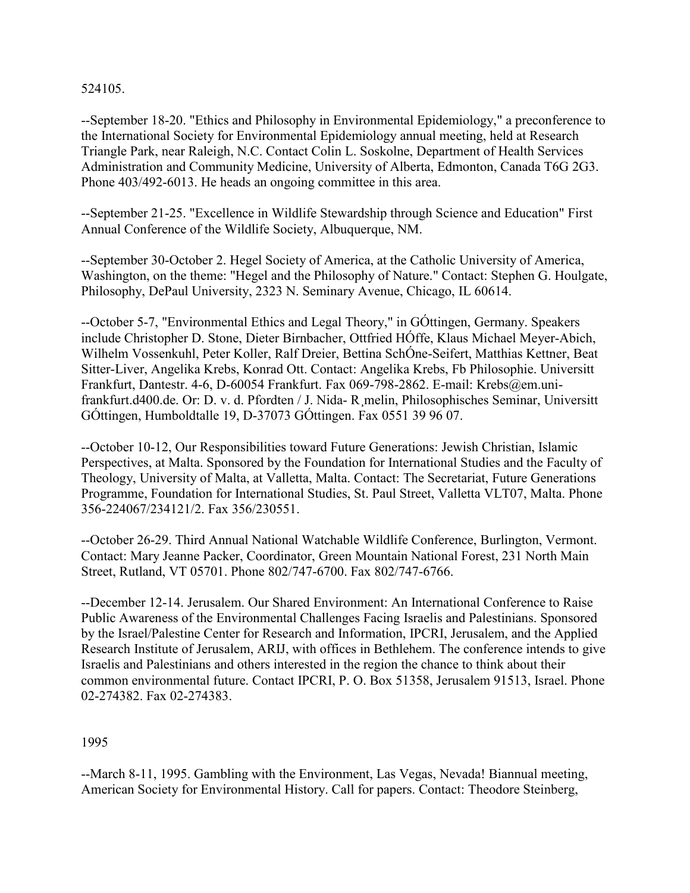524105.

--September 18-20. "Ethics and Philosophy in Environmental Epidemiology," a preconference to the International Society for Environmental Epidemiology annual meeting, held at Research Triangle Park, near Raleigh, N.C. Contact Colin L. Soskolne, Department of Health Services Administration and Community Medicine, University of Alberta, Edmonton, Canada T6G 2G3. Phone 403/492-6013. He heads an ongoing committee in this area.

--September 21-25. "Excellence in Wildlife Stewardship through Science and Education" First Annual Conference of the Wildlife Society, Albuquerque, NM.

--September 30-October 2. Hegel Society of America, at the Catholic University of America, Washington, on the theme: "Hegel and the Philosophy of Nature." Contact: Stephen G. Houlgate, Philosophy, DePaul University, 2323 N. Seminary Avenue, Chicago, IL 60614.

--October 5-7, "Environmental Ethics and Legal Theory," in GÓttingen, Germany. Speakers include Christopher D. Stone, Dieter Birnbacher, Ottfried HÓffe, Klaus Michael Meyer-Abich, Wilhelm Vossenkuhl, Peter Koller, Ralf Dreier, Bettina SchÓne-Seifert, Matthias Kettner, Beat Sitter-Liver, Angelika Krebs, Konrad Ott. Contact: Angelika Krebs, Fb Philosophie. Universitt Frankfurt, Dantestr. 4-6, D-60054 Frankfurt. Fax 069-798-2862. E-mail: Krebs@em.unifrankfurt.d400.de. Or: D. v. d. Pfordten / J. Nida- R¸melin, Philosophisches Seminar, Universitt GÓttingen, Humboldtalle 19, D-37073 GÓttingen. Fax 0551 39 96 07.

--October 10-12, Our Responsibilities toward Future Generations: Jewish Christian, Islamic Perspectives, at Malta. Sponsored by the Foundation for International Studies and the Faculty of Theology, University of Malta, at Valletta, Malta. Contact: The Secretariat, Future Generations Programme, Foundation for International Studies, St. Paul Street, Valletta VLT07, Malta. Phone 356-224067/234121/2. Fax 356/230551.

--October 26-29. Third Annual National Watchable Wildlife Conference, Burlington, Vermont. Contact: Mary Jeanne Packer, Coordinator, Green Mountain National Forest, 231 North Main Street, Rutland, VT 05701. Phone 802/747-6700. Fax 802/747-6766.

--December 12-14. Jerusalem. Our Shared Environment: An International Conference to Raise Public Awareness of the Environmental Challenges Facing Israelis and Palestinians. Sponsored by the Israel/Palestine Center for Research and Information, IPCRI, Jerusalem, and the Applied Research Institute of Jerusalem, ARIJ, with offices in Bethlehem. The conference intends to give Israelis and Palestinians and others interested in the region the chance to think about their common environmental future. Contact IPCRI, P. O. Box 51358, Jerusalem 91513, Israel. Phone 02-274382. Fax 02-274383.

1995

--March 8-11, 1995. Gambling with the Environment, Las Vegas, Nevada! Biannual meeting, American Society for Environmental History. Call for papers. Contact: Theodore Steinberg,